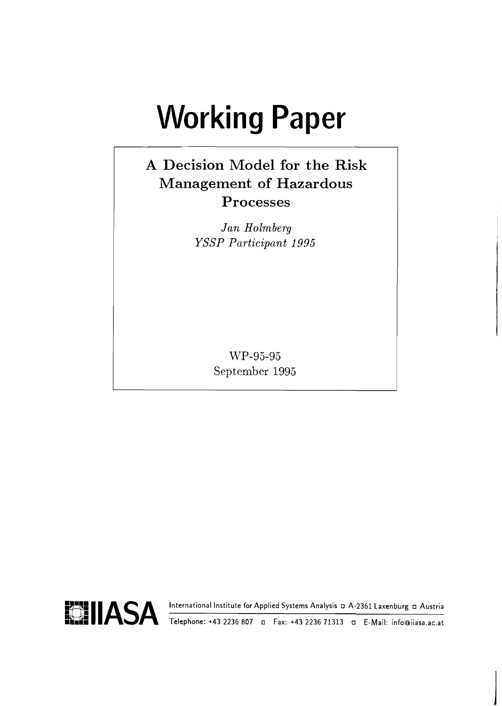# **Working Paper**

# **A Decision Model for the Risk Management of Hazardous Processes**

*Jan Holm berg YSSP Participant 1995* 

> WP-95-95 September 1995

**BIIASA International Institute for Applied Systems Analysis A-2361 Laxenburg Austria :ha. Telephone: +43 2236 807 Fax: +43 2236 71313 E-Mail: info@iiasa.ac.at** 

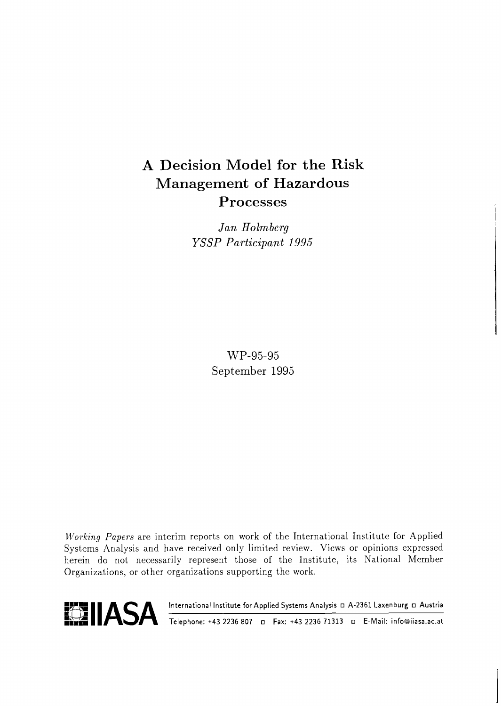# A Decision Model for the Risk Management of Hazardous Processes

*Jan Holmberg YSSP Participant 1995* 

> WP-95-95 September 1995

Working Papers are interim reports on work of the International Institute for Applied Systems Analysis and have received only limited review. Views or opinions expressed herein do not necessarily represent those of the Institute, its National Member Organizations, or other organizations supporting the work.



**1 ASA** <sup>International Institute for Applied Systems Analysis **D. A-2361 Laxenburg D. Austria**<br>**1 ASA** Telephone: +43 2236 807 **D. Fax: +43 2236 71313** D. E-Mail: info@iiasa.ac.at</sup>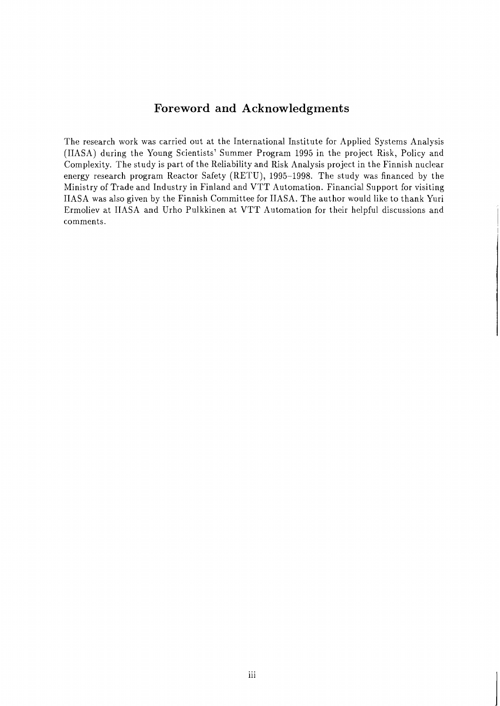# **Foreword and Acknowledgments**

The research work was carried out at the International Institute for Applied Systems Analysis (IIASA) during the Young Scientists' Summer Program 1995 in the project Risk, Policy and Complexity. The study is part of the Reliability and Risk Analysis project in the Finnish nuclear energy research program Reactor Safety (RETU), 1995-1998. The study was financed by the Ministry of Trade and Industry in Finland and VTT Automation. Financial Support for visiting IIASA was also given by the Finnish Committee for IIASA. The author would like to thank Yuri Ermoliev at IIASA and Urho Pulkkinen at VTT Automation for their helpful discussions and comments.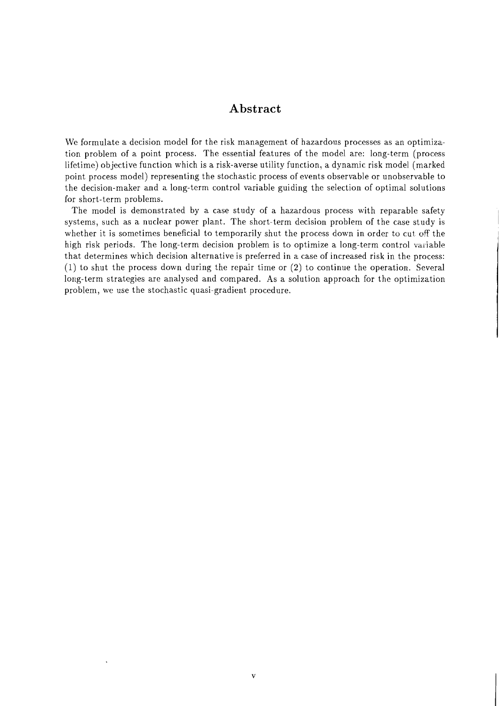## **Abstract**

We formulate a decision model for the risk management of hazardous processes as an optimization problem of a point process. The essential features of the model are: long-term (process lifetime) objective function which is a risk-averse utility function, a dynamic risk model (marked point process model) representing the stochastic process of events observable or unobservable to the decision-maker and a long-term control variable guiding the selection of optimal solutions for short-term problems.

The model is demonstrated by a case study of a hazardous process with reparable safety systems, such as a nuclear power plant. The short-term decision problem of the case study is whether it is sometimes beneficial to temporarily shut the process down in order to cut off the high risk periods. The long-term decision problem is to optimize a long-term control variable that determines which decision alternative is preferred in a case of increased risk in the process: (1) to shut the process down during the repair time or (2) to continue the operation. Several long-term strategies are analysed and compared. As a solution approach for the optimization problem, we use the stochastic quasi-gradient procedure.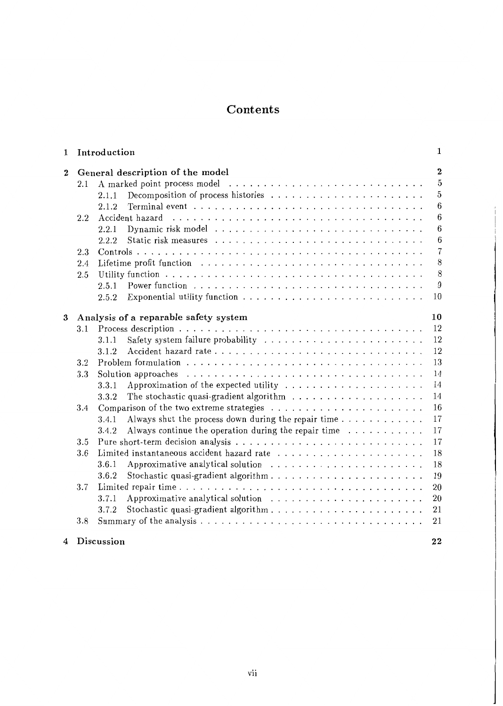# **Contents**

| 1        |     | Introduction                                                                                                                                                                                                                   | 1              |  |  |  |  |  |  |  |  |  |  |  |
|----------|-----|--------------------------------------------------------------------------------------------------------------------------------------------------------------------------------------------------------------------------------|----------------|--|--|--|--|--|--|--|--|--|--|--|
| $\bf{2}$ |     | General description of the model                                                                                                                                                                                               |                |  |  |  |  |  |  |  |  |  |  |  |
|          | 2.1 |                                                                                                                                                                                                                                | 5              |  |  |  |  |  |  |  |  |  |  |  |
|          |     | 2.1.1                                                                                                                                                                                                                          | 5              |  |  |  |  |  |  |  |  |  |  |  |
|          |     | Terminal event $\ldots \ldots \ldots \ldots \ldots \ldots \ldots \ldots \ldots \ldots$<br>2.1.2                                                                                                                                | 6              |  |  |  |  |  |  |  |  |  |  |  |
|          | 2.2 | Accident hazard                                                                                                                                                                                                                | 6              |  |  |  |  |  |  |  |  |  |  |  |
|          |     | 2.2.1                                                                                                                                                                                                                          | 6              |  |  |  |  |  |  |  |  |  |  |  |
|          |     | 2.2.2                                                                                                                                                                                                                          | 6              |  |  |  |  |  |  |  |  |  |  |  |
|          | 2.3 |                                                                                                                                                                                                                                | $\overline{7}$ |  |  |  |  |  |  |  |  |  |  |  |
|          | 2.4 | Lifetime profit function enterpresent in the set of the set of the set of the set of the set of the set of the set of the set of the set of the set of the set of the set of the set of the set of the set of the set of the s | 8              |  |  |  |  |  |  |  |  |  |  |  |
|          | 2.5 |                                                                                                                                                                                                                                | 8              |  |  |  |  |  |  |  |  |  |  |  |
|          |     | 2.5.1                                                                                                                                                                                                                          | 9              |  |  |  |  |  |  |  |  |  |  |  |
|          |     | 2.5.2                                                                                                                                                                                                                          | 10             |  |  |  |  |  |  |  |  |  |  |  |
| 3        |     | Analysis of a reparable safety system                                                                                                                                                                                          | 10             |  |  |  |  |  |  |  |  |  |  |  |
|          | 3.1 |                                                                                                                                                                                                                                | 12             |  |  |  |  |  |  |  |  |  |  |  |
|          |     | 3.1.1                                                                                                                                                                                                                          | 12             |  |  |  |  |  |  |  |  |  |  |  |
|          |     | 3.1.2                                                                                                                                                                                                                          | 12             |  |  |  |  |  |  |  |  |  |  |  |
|          | 3.2 | Problem formulation $\dots \dots \dots \dots \dots \dots \dots \dots \dots \dots \dots \dots \dots$                                                                                                                            | 13             |  |  |  |  |  |  |  |  |  |  |  |
|          | 3.3 | Solution approaches                                                                                                                                                                                                            | 14             |  |  |  |  |  |  |  |  |  |  |  |
|          |     | Approximation of the expected utility $\ldots \ldots \ldots \ldots \ldots \ldots$<br>3.3.1                                                                                                                                     | 14             |  |  |  |  |  |  |  |  |  |  |  |
|          |     | The stochastic quasi-gradient algorithm $\ldots \ldots \ldots \ldots \ldots \ldots$<br>3.3.2                                                                                                                                   | 14             |  |  |  |  |  |  |  |  |  |  |  |
|          | 3.4 |                                                                                                                                                                                                                                | 16             |  |  |  |  |  |  |  |  |  |  |  |
|          |     | 3.4.1                                                                                                                                                                                                                          | 17             |  |  |  |  |  |  |  |  |  |  |  |
|          |     | Always continue the operation during the repair time $\ldots \ldots \ldots$<br>3.4.2                                                                                                                                           | 17             |  |  |  |  |  |  |  |  |  |  |  |
|          | 3.5 |                                                                                                                                                                                                                                | 17             |  |  |  |  |  |  |  |  |  |  |  |
|          | 3.6 |                                                                                                                                                                                                                                | 18             |  |  |  |  |  |  |  |  |  |  |  |
|          |     | Approximative analytical solution $\ldots \ldots \ldots \ldots \ldots \ldots \ldots$<br>3.6.1                                                                                                                                  | 18             |  |  |  |  |  |  |  |  |  |  |  |
|          |     | 3.6.2                                                                                                                                                                                                                          | 19             |  |  |  |  |  |  |  |  |  |  |  |
|          | 3.7 |                                                                                                                                                                                                                                | 20             |  |  |  |  |  |  |  |  |  |  |  |
|          |     | Approximative analytical solution $\ldots \ldots \ldots \ldots \ldots \ldots \ldots$<br>3.7.1                                                                                                                                  | <b>20</b>      |  |  |  |  |  |  |  |  |  |  |  |
|          |     | 3.7.2                                                                                                                                                                                                                          | 21             |  |  |  |  |  |  |  |  |  |  |  |
|          | 3.8 |                                                                                                                                                                                                                                | 21             |  |  |  |  |  |  |  |  |  |  |  |
| 4        |     | Discussion                                                                                                                                                                                                                     | 22             |  |  |  |  |  |  |  |  |  |  |  |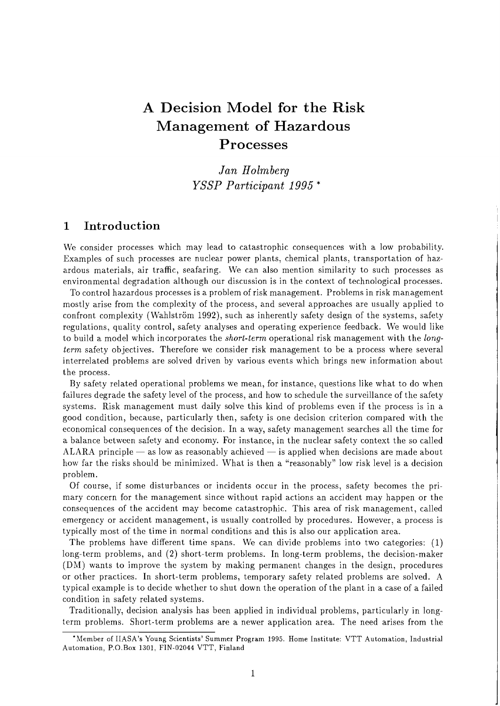# A Decision Model for the Risk Management of Hazardous Processes

*Jan Holmberg YSSP Participant 1995* \*

## **1** Introduction

We consider processes which may lead to catastrophic consequences with a low probability. Examples of such processes are nuclear power plants, chemical plants, transportation of hazardous materials, air traffic, seafaring. We can also mention similarity to such processes as environmental degradation although our discussion is in the context of technological processes.

To control hazardous processes is a problem of risk management. Problems in risk management mostly arise from the complexity of the process, and several approaches are usually applied to confront complexity (Wahlström 1992), such as inherently safety design of the systems, safety regulations, quality control, safety analyses and operating experience feedback. We would like to build a model which incorporates the *short-term* operational risk management with the *longterm* safety objectives. Therefore we consider risk management to be a process where several interrelated problems are solved driven by various events which brings new information about the process.

By safety related operational problems we mean, for instance, questions like what to do when failures degrade the safety level of the process, and how to schedule the surveillance of the safety systems. Risk management must daily solve this kind of problems even if the process is in a good condition, because, particularly then, safety is one decision criterion compared with the economical consequences of the decision. In a way, safety management searches all the time for a balance between safety and economy. For instance, in the nuclear safety context the so called ALARA principle  $-$  as low as reasonably achieved  $-$  is applied when decisions are made about how far the risks should be minimized. What is then a "reasonably" low risk level is a decision problem.

Of course, if some disturbances or incidents occur in the process, safety becomes the primary concern for the management since without rapid actions an accident may happen or the consequences of the accident may become catastrophic. This area of risk management, called emergency or accident management, is usually controlled by procedures. However, a process is typically most of the time in normal conditions and this is also our application area.

The problems have different time spans. We can divide problems into two categories: (1) long-term problems, and (2) short-term problems. In long-term problems, the decision-maker (DM) wants to improve the system by making permanent changes in the design, procedures or other practices. In short-term problems, temporary safety related problems are solved. A typical example is to decide whether to shut down the operation of the plant in a case of a failed condition in safety related systems.

Traditionally, decision analysis has been applied in individual problems, particularly in longterm problems. Short-term problems are a newer application area. The need arises from the

<sup>&#</sup>x27;hlember of IIASA's Young Scientists' Summer Program 1995. Home Institute: VTT Automation, Industrial Automation, P.O.Box 1301, FIN-02044 VTT, Finland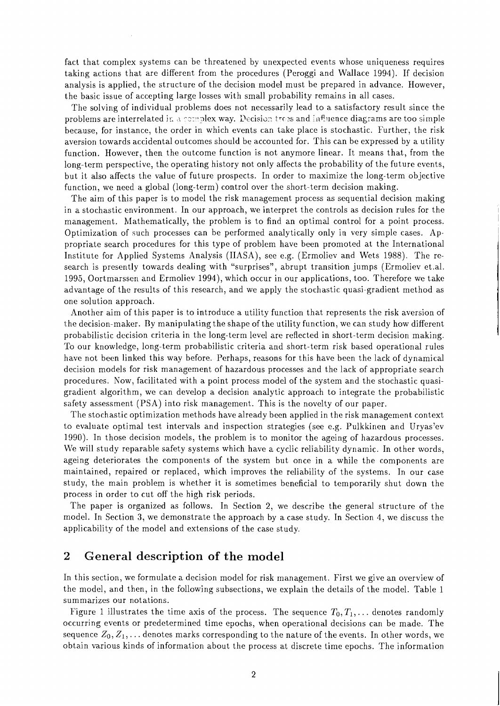fact that complex systems can be threatened by unexpected events whose uniqueness requires taking actions that are different from the procedures (Peroggi and Wallace 1994). If decision analysis is applied, the structure of the decision model must be prepared in advance. However, the basic issue of accepting large losses with small probability remains in all cases.

The solving of individual problems does not necessarily lead to a satisfactory result since the problems are interrelated in a complex way. Decision trees and influence diagrams are too simple because, for instance, the order in which events can take place is stochastic. Further, the risk aversion towards accidental outcomes should be accounted for. This can be expressed by a utility function. However, then the outcome function is not anymore linear. It means that, from the long-term perspective, the operating history not only affects the probability of the future events, but it also affects the value of future prospects. In order to maximize the long-term objective function, we need a global (long-term) control over the short-term decision making.

The aim of this paper is to model the risk management process as sequential decision making in a stochastic environment. In our approach, we interpret the controls as decision rules for the management. Mathematically, the problem is to find an optimal control for a point process. Optimization of such processes can be performed analytically only in very simple cases. Appropriate search procedures for this type of problem have been promoted at the International Institute for Applied Systems Analysis (IIASA), see e.g. (Ermoliev and Wets 1988). The research is presently towards dealing with "surprises", abrupt transition jumps (Ermoliev et.al. 1995, Oortmarssen and Ermoliev 1994), which occur in our applications, too. Therefore we take advantage of the results of this research, and we apply the stochastic quasi-gradient method as one solution approach.

Another aim of this paper is to introduce a utility function that represents the risk aversion of the decision-maker. By manipulating the shape of the utility function, we can study how different probabilistic decision criteria in the long-term level are reflected in short-term decision making. To our knowledge, long-term probabilistic criteria and short-term risk based operational rules have not been linked this way before. Perhaps, reasons for this have been the lack of dynamical decision models for risk management of hazardous processes and the lack of appropriate search procedures. Now, facilitated with a point process model of the system and the stochastic quasigradient algorithm, we can develop a decision analytic approach to integrate the probabilistic safety assessment (PSA) into risk management. This is the novelty of our paper.

Tlle stochastic optimization methods have already been applied in the risk management context to evaluate optimal test intervals and inspection strategies (see e.g. Pulkkinen and Uryas'ev 1990). In those decision models, the problem is to monitor the ageing of hazardous processes. We will study reparable safety systems which have a cyclic reliability dynamic. In other words, ageing deteriorates the components of the system but once in a while the components are maintained, repaired or replaced, which improves the reliability of the systems. In our case study, the main problem is whether it is sometimes beneficial to temporarily shut down the process in order to cut off the high risk periods.

The paper is organized as follows. In Section 2, we describe the general structure of the model. In Section **3,** we demonstrate the approach by a case study. In Section 4, we discuss the applicability of the model and extensions of the case study.

# **2 General description of the model**

In this section, we formulate a decision model for risk management. First we give an overview of the model, and then, in the following subsections, we explain the details of the model. Table 1 summarizes our notations.

Figure 1 illustrates the time axis of the process. The sequence  $T_0, T_1, \ldots$  denotes randomly occurring events or predetermined time epochs, when operational decisions can be made. The sequence  $Z_0, Z_1, \ldots$  denotes marks corresponding to the nature of the events. In other words, we obtain various kinds of information about the process at discrete time epochs. The information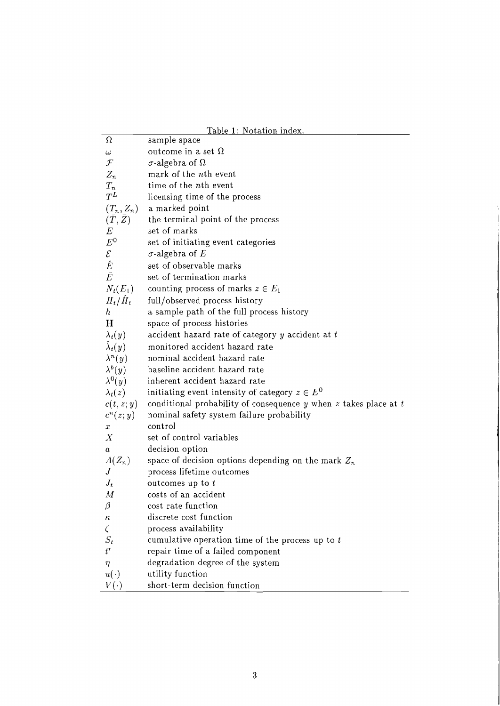|                     | <u>Table 1: Notation index.</u>                                        |
|---------------------|------------------------------------------------------------------------|
| Ω                   | sample space                                                           |
| $\omega$            | outcome in a set $\Omega$                                              |
| $\mathcal F$        | $\sigma$ -algebra of $\Omega$                                          |
| $Z_n$               | mark of the nth event                                                  |
| $T_n$               | time of the nth event                                                  |
| $T^L$               | licensing time of the process                                          |
| $(T_n, Z_n)$        | a marked point                                                         |
| $(\bar{T},\bar{Z})$ | the terminal point of the process                                      |
| $\boldsymbol{E}$    | set of marks                                                           |
| ${\cal E}^0$        | set of initiating event categories                                     |
| $\mathcal{E}$       | $\sigma$ -algebra of E                                                 |
| $\hat{E}$           | set of observable marks                                                |
| $\bar{E}$           | set of termination marks                                               |
| $N_t(E_1)$          | counting process of marks $z \in E_1$                                  |
| $H_t/H_t$           | full/observed process history                                          |
| $\hbar$             | a sample path of the full process history                              |
| H                   | space of process histories                                             |
| $\lambda_t(y)$      | accident hazard rate of category $y$ accident at $t$                   |
| $\lambda_t(y)$      | monitored accident hazard rate                                         |
| $\lambda^{n}(y)$    | nominal accident hazard rate                                           |
| $\lambda^{b}(y)$    | baseline accident hazard rate                                          |
| $\lambda^{0}(y)$    | inherent accident hazard rate                                          |
| $\lambda_t(z)$      | initiating event intensity of category $z \in E^0$                     |
| c(t, z; y)          | conditional probability of consequence $y$ when $z$ takes place at $t$ |
| $c^n(z; y)$         | nominal safety system failure probability                              |
| x                   | control                                                                |
| $\boldsymbol{X}$    | set of control variables                                               |
| a                   | decision option                                                        |
| $A(Z_n)$            | space of decision options depending on the mark $Z_n$                  |
| J                   | process lifetime outcomes                                              |
| $J_t$               | outcomes up to $t$                                                     |
| $\boldsymbol{M}$    | costs of an accident                                                   |
| $\beta$             | cost rate function                                                     |
| κ                   | discrete cost function                                                 |
| $\zeta$             | process availability                                                   |
| $S_t$               | cumulative operation time of the process up to $t$                     |
| $t^\tau$            | repair time of a failed component                                      |
| η                   | degradation degree of the system                                       |
| $u(\cdot)$          | utility function                                                       |
| $V(\cdot)$          | short-term decision function                                           |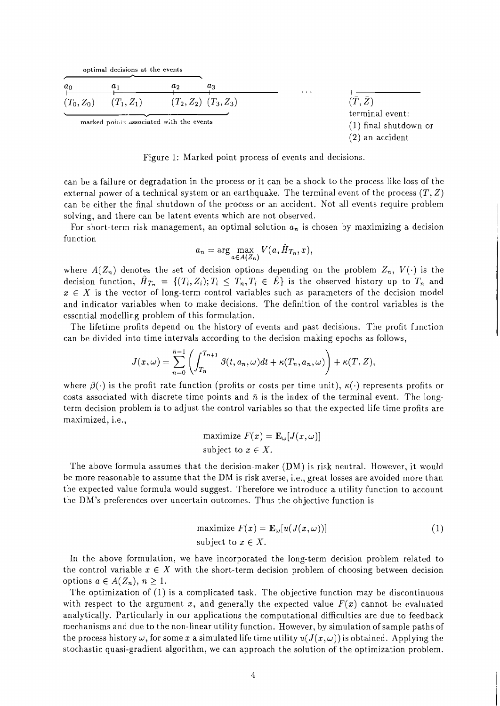|  | optimal decisions at the events |  |  |
|--|---------------------------------|--|--|
|  |                                 |  |  |

| $a_0$        | $a_1$            | aз<br>a,                                 | $\cdots$ |                                            |
|--------------|------------------|------------------------------------------|----------|--------------------------------------------|
| $(T_0, Z_0)$ | $(T_{1}, Z_{1})$ | $(T_2, Z_2)$ $(T_3, Z_3)$                |          | $(\bar{T},\bar{Z})$                        |
|              |                  | marked points associated with the events |          | terminal event:<br>$(1)$ final shutdown or |
|              |                  |                                          |          | $(2)$ an accident                          |

Figure 1: Marked point process of events and decisions.

can be a failure or degradation in the process or it can be a shock to the process like loss of the external power of a technical system or an earthquake. The terminal event of the process  $(\overline{T}, \overline{Z})$ can be either the final shutdown of the process or an accident. Not all events require problem solving, and there can be latent events which are not observed.

For short-term risk management, an optimal solution  $a_n$  is chosen by maximizing a decision function

$$
a_n = \arg \max_{a \in A(Z_n)} V(a, \hat{H}_{T_n}, x),
$$

where  $A(Z_n)$  denotes the set of decision options depending on the problem  $Z_n$ ,  $V(\cdot)$  is the decision function,  $H_{T_n} = \{(T_i, Z_i); T_i \leq T_n, T_i \in \mathring{E}\}\$ is the observed history up to  $T_n$  and  $x \in X$  is the vector of long-term control variables such as parameters of the decision model and indicator variables when to make decisions. The definition of the control variables is the essential modelling problem of this formulation.

The lifetime profits depend on the history of events and past decisions. The profit function can be divided into time intervals according to the decision making epochs as follows,

$$
J(x,\omega)=\sum_{n=0}^{\bar{n}-1}\left(\int_{T_n}^{T_{n+1}}\beta(t,a_n,\omega)dt+\kappa(T_n,a_n,\omega)\right)+\kappa(\bar{T},\bar{Z}),
$$

where  $\beta(\cdot)$  is the profit rate function (profits or costs per time unit),  $\kappa(\cdot)$  represents profits or costs associated with discrete time points and  $\bar{n}$  is the index of the terminal event. The longterm decision problem is to adjust the control variables so that the expected life time profits are maximized, i.e.,

$$
\begin{aligned}\n\text{maximize } F(x) &= \mathbf{E}_{\omega}[J(x,\omega)] \\
\text{subject to } x \in X.\n\end{aligned}
$$

The above formula assumes that the decision-maker (DM) is risk neutral. However, it would be more reasonable to assume that the DM is risk averse, i.e., great losses are avoided more than the expected value formula would suggest. Therefore we introduce a utility function to account the DM'S preferences over uncertain outcomes. Thus the objective function is

$$
\text{maximize } F(x) = \mathbf{E}_{\omega}[u(J(x,\omega))]
$$
\n
$$
\text{subject to } x \in X. \tag{1}
$$

In the above formulation, we have incorporated the long-term decision problem related to the control variable  $x \in X$  with the short-term decision problem of choosing between decision options  $a \in A(Z_n), n \geq 1$ .

The optimization of (1) is a complicated task. The objective function may be discontinuous with respect to the argument x, and generally the expected value  $F(x)$  cannot be evaluated analytically. Particularly in our applications the computational difficulties are due to feedback mechanisms and due to the non-linear utility function. However, by simulation of sample paths of the process history  $\omega$ , for some x a simulated life time utility  $u(J(x,\omega))$  is obtained. Applying the stochastic quasi-gradient algorithm, we can approach the solution of the optimization problem.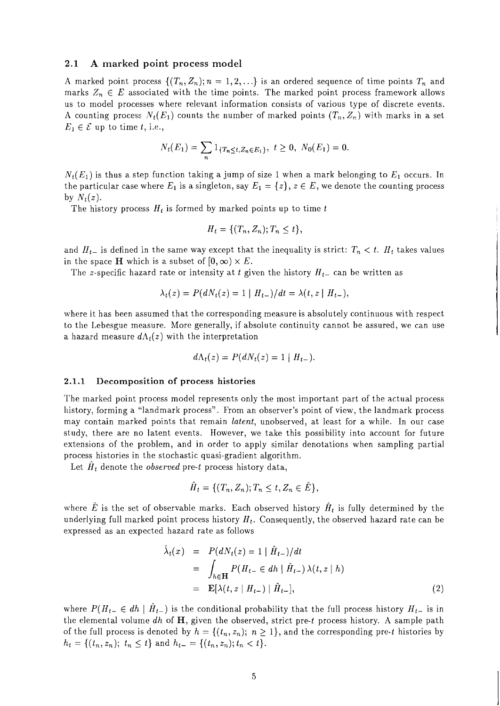#### **2.1 A marked point process model**

A marked point process  $\{(T_n, Z_n); n = 1, 2, ...\}$  is an ordered sequence of time points  $T_n$  and marks  $Z_n \in E$  associated with the time points. The marked point process framework allows us to model processes where relevant information consists of various type of discrete events. A counting process  $N_t(E_1)$  counts the number of marked points  $(T_n, Z_n)$  with marks in a set  $E_1 \in \mathcal{E}$  up to time t, i.e.,

$$
N_t(E_1) = \sum_n 1_{\{T_n \le t, Z_n \in E_1\}}, \ t \ge 0, \ N_0(E_1) = 0.
$$

 $N_t(E_1)$  is thus a step function taking a jump of size 1 when a mark belonging to  $E_1$  occurs. In the particular case where  $E_1$  is a singleton, say  $E_1 = \{z\}, z \in E$ , we denote the counting process by  $N_t(z)$ .

The history process  $H_t$  is formed by marked points up to time t

$$
H_t = \{ (T_n, Z_n); T_n \leq t \},
$$

and  $H_{t-}$  is defined in the same way except that the inequality is strict:  $T_n < t$ .  $H_t$  takes values in the space H which is a subset of  $[0, \infty) \times E$ .

The z-specific hazard rate or intensity at t given the history  $H_{t-}$  can be written as

$$
\lambda_t(z) = P(dN_t(z) = 1 | H_{t-})/dt = \lambda(t, z | H_{t-}),
$$

where it has been assumed that the corresponding measure is absolutely continuous with respect to the Lebesgue measure. More generally, if absolute continuity cannot be assured, we can use a hazard measure  $d\Lambda_t(z)$  with the interpretation

$$
d\Lambda_t(z) = P(dN_t(z) = 1 | H_{t-}).
$$

#### **2.1.1 Decomposition of process histories**

The marked point process model represents only the most important part of the actual process history, forming a "landmark process". From an observer's point of view, the landmark process may contain marked points that remain *latent*, unobserved, at least for a while. In our case study, there are no latent events. However, we take this possibility into account for future extensions of the problem, and in order to apply similar denotations when sampling partial process histories in the stochastic quasi-gradient algorithm.

Let  $H_t$  denote the *observed* pre-t process history data,

$$
\tilde{H}_t = \{ (T_n, Z_n); T_n \leq t, Z_n \in \tilde{E} \},\
$$

where E is the set of observable marks. Each observed history  $H_t$  is fully determined by the underlying full marked point process history  $H_t$ . Consequently, the observed hazard rate can be expressed as an expected hazard rate as follows

$$
\lambda_t(x) = P(dN_t(z) = 1 | \hat{H}_{t-})/dt
$$
  
\n
$$
= \int_{h \in \mathbf{H}} P(H_{t-} \in dh | \hat{H}_{t-}) \lambda(t, z | h)
$$
  
\n
$$
= \mathbf{E}[\lambda(t, z | H_{t-}) | \hat{H}_{t-}], \qquad (2)
$$

where  $P(H_{t-} \in dh \mid H_{t-})$  is the conditional probability that the full process history  $H_{t-}$  is in the elemental volume dh of  $H$ , given the observed, strict pre-t process history. A sample path of the full process is denoted by  $h = \{(t_n, z_n); n \geq 1\}$ , and the corresponding pre-t histories by  $h_t = \{(t_n, z_n); t_n \leq t\}$  and  $h_{t-} = \{(t_n, z_n); t_n < t\}.$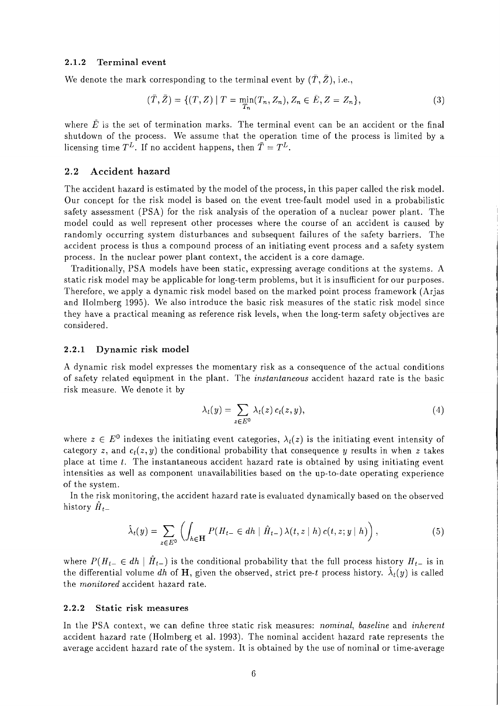#### **2.1.2 Terminal event**

We denote the mark corresponding to the terminal event by  $(T, Z)$ , *i.e.*,

$$
(\bar{T}, \bar{Z}) = \{ (T, Z) \mid T = \min_{T_n} (T_n, Z_n), Z_n \in \bar{E}, Z = Z_n \},
$$
\n(3)

where  $\tilde{E}$  is the set of termination marks. The terminal event can be an accident or the final shutdown of the process. We assume that the operation time of the process is limited by a licensing time  $T^L$ . If no accident happens, then  $\overline{T} = T^L$ .

#### **2.2 Accident hazard**

The accident hazard is estimated by the model of the process, in this paper called the risk model. Our concept for the risk model is based on the event tree-fault model used in a probabilistic safety assessment (PSA) for the risk analysis of the operation of a nuclear power plant. The model could as well represent other processes where the course of an accident is caused by randomly occurring system disturbances and subsequent failures of the safety barriers. The accident process is thus a compound process of an initiating event process and a safety system process. In the nuclear power plant context, the accident is a core damage.

Traditionally, PSA models have been static, expressing average conditions at the systems. A static risk model may be applicable for long-term problems, but it is insufficient for our purposes. Therefore, we apply a dynamic risk model based on the marked point process framework (Arjas and Holmberg 1995). We also introduce the basic risk measures of the static risk model since they have a practical meaning as reference risk levels, when the long-term safety objectives are considered.

#### **2.2.1 Dynamic risk model**

A dynamic risk model expresses the momentary risk as a consequence of the actual conditions of safety related equipment in the plant. The instantaneous accident hazard rate is the basic risk measure. We denote it by

$$
\lambda_t(y) = \sum_{z \in E^0} \lambda_t(z) c_t(z, y), \qquad (4)
$$

where  $z \in E^0$  indexes the initiating event categories,  $\lambda_t(z)$  is the initiating event intensity of category z, and  $c_t(z, y)$  the conditional probability that consequence y results in when z takes place at time  $t$ . The instantaneous accident hazard rate is obtained by using initiating event intensities as well as component unavailabilities based on the up-to-date operating experience of the system.

In the risk monitoring, the accident hazard rate is evaluated dynamically based on the observed history  $\ddot{H}_{t-}$ 

$$
\hat{\lambda}_t(y) = \sum_{z \in E^0} \left( \int_{h \in \mathbf{H}} P(H_{t-} \in dh \mid \hat{H}_{t-}) \lambda(t, z \mid h) c(t, z; y \mid h) \right),\tag{5}
$$

where  $P(H_{t-} \in dh \mid \hat{H}_{t-})$  is the conditional probability that the full process history  $H_{t-}$  is in the differential volume *dh* of **H**, given the observed, strict pre-t process history.  $\lambda_t(y)$  is called the monitored accident hazard rate.

#### **2.2.2 Static risk measures**

In the PSA context, we can define three static risk measures: *nominal*, baseline and *inherent* accident hazard rate (Holmberg et al. 1993). The nominal accident hazard rate represents the average accident hazard rate of the system. It is obtained by the use of nominal or time-average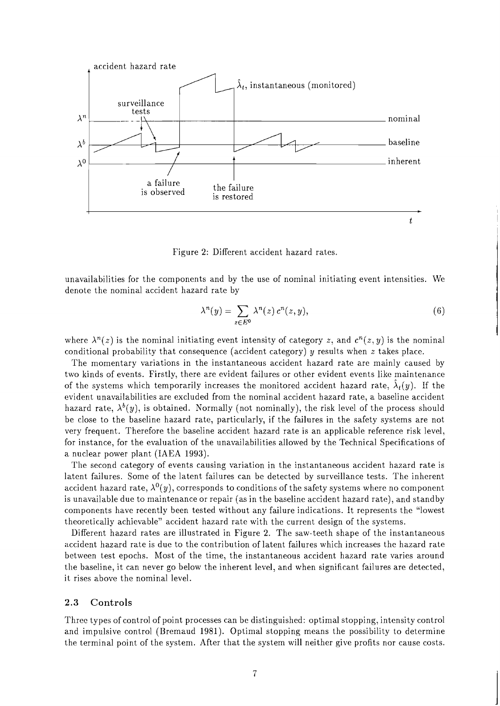

Figure 2: Different accident hazard rates.

unavailabilities for the components and by the use of nominal initiating event intensities. We denote the nominal accident hazard rate by

$$
\lambda^n(y) = \sum_{z \in E^0} \lambda^n(z) \, c^n(z, y), \tag{6}
$$

where  $\lambda^{n}(z)$  is the nominal initiating event intensity of category z, and  $c^{n}(z, y)$  is the nominal conditional probability that consequence (accident category)  $y$  results when  $z$  takes place.

The momentary variations in the instantaneous accident hazard rate are mainly caused by two kinds of events. Firstly, there are evident failures or other evident events like maintenance of the systems which temporarily increases the monitored accident hazard rate,  $\lambda_t(y)$ . If the evident unavailabilities are excluded from the nominal accident hazard rate, a baseline accident hazard rate,  $\lambda^b(y)$ , is obtained. Normally (not nominally), the risk level of the process should be close to the baseline hazard rate, particularly, if the failures in the safety systems are not very frequent. Therefore the baseline accident hazard rate is an applicable reference risk level, for instance, for the evaluation of the unavailabilities allowed by the Technical Specifications of a nuclear power plant (IAEA 1993).

The second category of events causing variation in the instantaneous accident hazard rate is latent failures. Some of the latent failures can be detected by surveillance tests. The inherent accident hazard rate,  $\lambda^{0}(y)$ , corresponds to conditions of the safety systems where no component is unavailable due to maintenance or repair (as in the baseline accident hazard rate), and standby components have recently been tested without any failure indications. It represents the "lowest theoreticaliy achievable" accident hazard rate with the current design of the systems.

Different hazard rates are illustrated in Figure 2. The saw-teeth shape of the instantaneous accident hazard rate is due to the contribution of latent failures which increases the hazard rate between test epochs. Most of the time, the instantaneous accident hazard rate varies around the baseline, it can never go below the inherent level, and when significant failures are detected, it rises above the nominal level.

#### **2.3** Controls

Three types of control of point processes can be distinguished: optimal stopping, intensity control and impulsive control (Bremaud 1981). Optimal stopping means the possibility to determine the terminal point of the system. After that the system will neither give profits nor cause costs.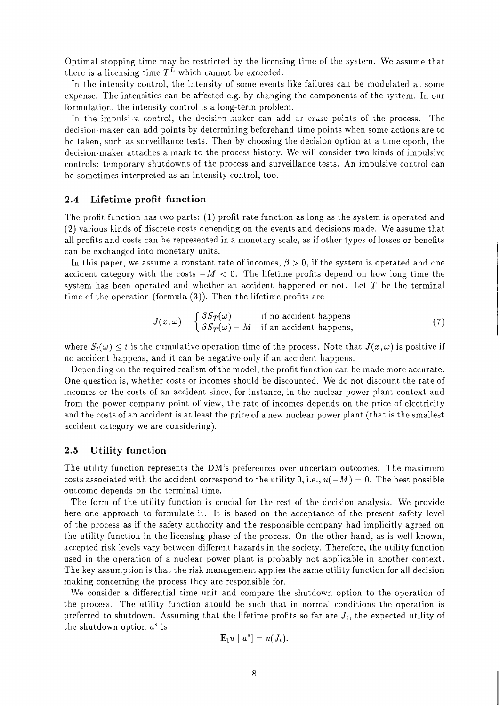Optimal stopping time may be restricted by the licensing time of the system. We assume that there is a licensing time  $T^L$  which cannot be exceeded.

In the intensity control, the intensity of some events like failures can be modulated at some expense. The intensities can be affected e.g. by changing the components of the system. In our formulation, the intensity control is a long-term problem.

In the impulsive control, the decision-maker can add or erase points of the process. The decision-maker can add points by determining beforehand time points when some actions are to be taken, such as surveillance tests. Then by choosing the decision option at a time epoch, the decision-maker attaches a mark to the process history. We will consider two kinds of impulsive controls: temporary shutdowns of the process and surveillance tests. An impulsive control can be sometimes interpreted as an intensity control, too.

#### **2.4 Lifetime profit function**

The profit function has two parts: (1) profit rate function as long as the system is operated and (2) various kinds of discrete costs depending on the events and decisions made. We assume that all profits and costs can be represented in a monetary scale, as if other types of losses or benefits can be exchanged into monetary units.

In this paper, we assume a constant rate of incomes,  $\beta > 0$ , if the system is operated and one accident category with the costs  $-M < 0$ . The lifetime profits depend on how long time the system has been operated and whether an accident happened or not. Let  $\overline{T}$  be the terminal time of the operation (formula **(3)).** Then the lifetime profits are

$$
J(x,\omega) = \begin{cases} \beta S_{\bar{T}}(\omega) & \text{if no accident happens} \\ \beta S_{\bar{T}}(\omega) - M & \text{if an accident happens,} \end{cases}
$$
 (7)

where  $S_t(\omega) < t$  is the cumulative operation time of the process. Note that  $J(x, \omega)$  is positive if no accident happens, and it can be negative only if an accident happens.

Depending on the required realism of the model, the profit function can be made more accurate. One question is, whether costs or incomes should be discounted. We do not discount the rate of incomes or the costs of an accident since, for instance, in the nuclear power plant context and from the power company point of view, the rate of incomes depends on the price of electricity and the costs of an accident is at least the price of a new nuclear power plant (that is the smallest accident category we are considering).

#### **2.5 Utility function**

The utility function represents the DM'S preferences over uncertain outcomes. The maximum costs associated with the accident correspond to the utility 0, i.e.,  $u(-M) = 0$ . The best possible outcome depends on the terminal time.

The form of the utility function is crucial for the rest of the decision analysis. We provide here one approach to formulate it. It is based on the acceptance of the present safety level of the process as if the safety authority and the responsible company had implicitly agreed on the utility function in the licensing phase of the process. On the other hand, as is well known, accepted risk levels vary between different hazards in the society. Therefore, the utility function used in the operation of a nuclear power plant is probably not applicable in another context. The key assumption is that the risk management applies the same utility function for all decision making concerning the process they are responsible for.

We consider a differential time unit and compare the shutdown option to the operation of the process. The utility function should be such that in normal conditions the operation is preferred to shutdown. Assuming that the lifetime profits so far are  $J_t$ , the expected utility of the shutdown option  $a^s$  is

$$
\mathbf{E}[u \mid a^s] = u(J_t).
$$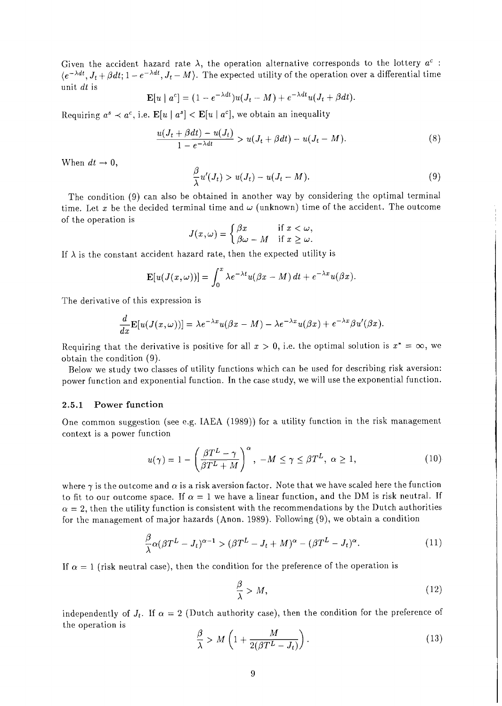Given the accident hazard rate  $\lambda$ , the operation alternative corresponds to the lottery  $a^c$ :  $\langle e^{-\lambda dt}, J_t + \beta dt; 1 - e^{-\lambda dt}, J_t - M \rangle$ . The expected utility of the operation over a differential time unit dt is

$$
\mathbf{E}[u \mid a^c] = (1 - e^{-\lambda dt})u(J_t - M) + e^{-\lambda dt}u(J_t + \beta dt).
$$

Requiring  $a^s \prec a^c$ , i.e.  $\mathbf{E}[u \mid a^s] < \mathbf{E}[u \mid a^c]$ , we obtain an inequality

$$
\frac{u(J_t + \beta dt) - u(J_t)}{1 - e^{-\lambda dt}} > u(J_t + \beta dt) - u(J_t - M). \tag{8}
$$

When  $dt \rightarrow 0$ ,

$$
\frac{\beta}{\lambda}u'(J_t) > u(J_t) - u(J_t - M). \tag{9}
$$

The condition (9) can also be obtained in another way by considering the optimal terminal time. Let x be the decided terminal time and  $\omega$  (unknown) time of the accident. The outcome of the operation is

$$
J(x,\omega) = \begin{cases} \beta x & \text{if } x < \omega, \\ \beta \omega - M & \text{if } x \ge \omega. \end{cases}
$$

If  $\lambda$  is the constant accident hazard rate, then the expected utility is

$$
\mathbf{E}[u(J(x,\omega))] = \int_0^x \lambda e^{-\lambda t} u(\beta x - M) dt + e^{-\lambda x} u(\beta x).
$$

The derivative of this expression is

$$
\frac{d}{dx}\mathbf{E}[u(J(x,\omega))] = \lambda e^{-\lambda x}u(\beta x - M) - \lambda e^{-\lambda x}u(\beta x) + e^{-\lambda x}\beta u'(\beta x).
$$

Requiring that the derivative is positive for all  $x > 0$ , i.e. the optimal solution is  $x^* = \infty$ , we obtain the condition (9).

Below we study two classes of utility functions which can be used for describing risk aversion: power function and exponential function. In the case study, we will use the exponential function.

#### **2.5.1 Power function**

One common suggestion (see e.g. IAEA (1989)) for a utility function in the risk management context is a power function

$$
u(\gamma) = 1 - \left(\frac{\beta T^L - \gamma}{\beta T^L + M}\right)^{\alpha}, \ -M \le \gamma \le \beta T^L, \ \alpha \ge 1,\tag{10}
$$

where  $\gamma$  is the outcome and  $\alpha$  is a risk aversion factor. Note that we have scaled here the function to fit to our outcome space. If  $\alpha = 1$  we have a linear function, and the DM is risk neutral. If  $\alpha = 2$ , then the utility function is consistent with the recommendations by the Dutch authorities for the management of major hazards (Anon. 1989). Following (9), we obtain a condition

$$
\frac{\beta}{\lambda}\alpha(\beta T^L - J_t)^{\alpha - 1} > (\beta T^L - J_t + M)^{\alpha} - (\beta T^L - J_t)^{\alpha}.
$$
\n(11)

If  $\alpha = 1$  (risk neutral case), then the condition for the preference of the operation is

$$
\frac{\beta}{\lambda} > M,\tag{12}
$$

independently of  $J_t$ . If  $\alpha = 2$  (Dutch authority case), then the condition for the preference of the operation is

$$
\frac{\beta}{\lambda} > M\left(1 + \frac{M}{2(\beta T^L - J_t)}\right). \tag{13}
$$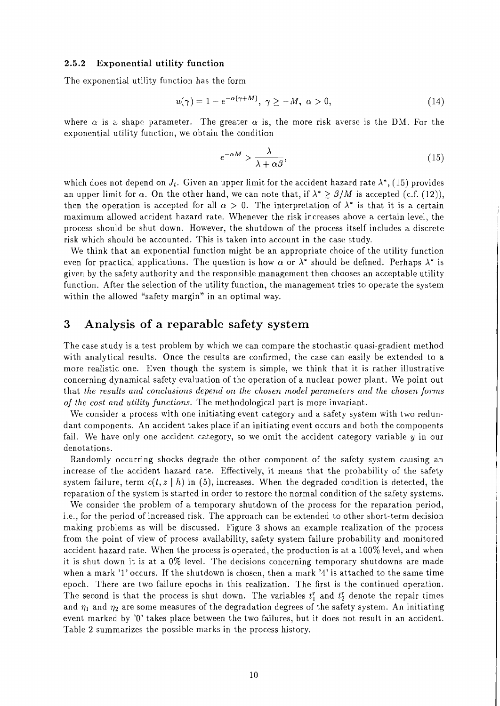#### **2.5.2 Exponential utility function**

The exponential utility function has the form

$$
u(\gamma) = 1 - e^{-\alpha(\gamma + M)}, \ \gamma \ge -M, \ \alpha > 0,
$$
\n<sup>(14)</sup>

where  $\alpha$  is a shape parameter. The greater  $\alpha$  is, the more risk averse is the DM. For the exponential utility function, we obtain the condition

$$
e^{-\alpha M} > \frac{\lambda}{\lambda + \alpha \beta},\tag{15}
$$

which does not depend on  $J_t$ . Given an upper limit for the accident hazard rate  $\lambda^*$ , (15) provides an upper limit for  $\alpha$ . On the other hand, we can note that, if  $\lambda^* \geq \beta/M$  is accepted (c.f. (12)), then the operation is accepted for all  $\alpha > 0$ . The interpretation of  $\lambda^*$  is that it is a certain maximum allowed accident hazard rate. Whenever the risk increases above a certain level, the process should be shut down. However, the shutdown of the process itself includes a discrete risk which should be accounted. This is taken into account in the case study.

We think that an exponential function might be an appropriate choice of the utility function even for practical applications. The question is how  $\alpha$  or  $\lambda^*$  should be defined. Perhaps  $\lambda^*$  is given by the safety authority and the responsible management then chooses an acceptable utility function. After the selection of the utility function, the management tries to operate the system within the allowed "safety margin" in an optimal way.

## **3 Analysis of a reparable safety system**

The case study is a test problem by which we can compare the stochastic quasi-gradient method with analytical results. Once the results are confirmed, the case can easily be extended to a more realistic one. Even though the system is simple, we think that it is rather illustrative concerning dynamical safety evaluation of the operation of a nuclear power plant. We point out that *the results and conclusions depend on the chosen model parameters and the chosen forms of the cost and utility functions.* The methodological part is more invariant.

We consider a process with one initiating event category and a safety system with two redundant components. An accident takes place if an initiating event occurs and both the components fail. We have only one accident category, so we omit the accident category variable  $y$  in our denotations.

Randomly occurring shocks degrade the other component of the safety system causing an increase of the accident hazard rate. Effectively, it means that the probability of the safety system failure, term  $c(t, z | h)$  in (5), increases. When the degraded condition is detected, the reparation of the system is started in order to restore the normal condition of the safety systems.

We consider the problem of a temporary shutdown of the process for the reparation period, i.e., for the period of increased risk. The approach can be extended to other short-term decision making problems as will be discussed. Figure **3** shows an example realization of the process from the point of view of process availability, safety system failure probability and monitored accident hazard rate. When the process is operated, the production is at a 100% level, and when it is shut down it is at a 0% level. The decisions concerning temporary shutdowns are made when a mark '1' occurs. If the shutdown is chosen, then a mark '4' is attached to the same time epoch. There are two failure epochs in this realization. The first is the continued operation. The second is that the process is shut down. The variables  $t_1^r$  and  $t_2^r$  denote the repair times and  $\eta_1$  and  $\eta_2$  are some measures of the degradation degrees of the safety system. An initiating event marked by '0' takes place between the two failures, but it does not result in an accident. Table 2 summarizes the possible marks in the process history.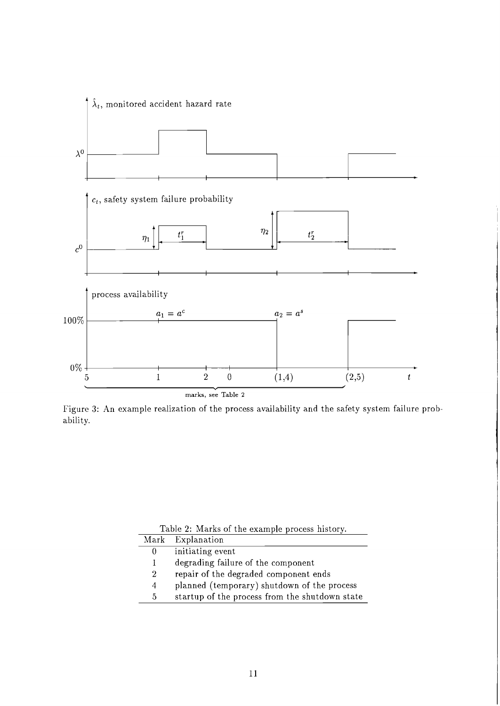

Figurc **3:** An example realization of the process availability and the safety system failure probability.

|  |  |                         |  | Table 2: Marks of the example process history. |  |  |
|--|--|-------------------------|--|------------------------------------------------|--|--|
|  |  | $\mathbf{r}$ in the set |  |                                                |  |  |

| Mark           | Explanation                                    |
|----------------|------------------------------------------------|
| 0              | initiating event                               |
| L              | degrading failure of the component             |
| $\overline{2}$ | repair of the degraded component ends          |
| 4              | planned (temporary) shutdown of the process    |
| 5              | startup of the process from the shutdown state |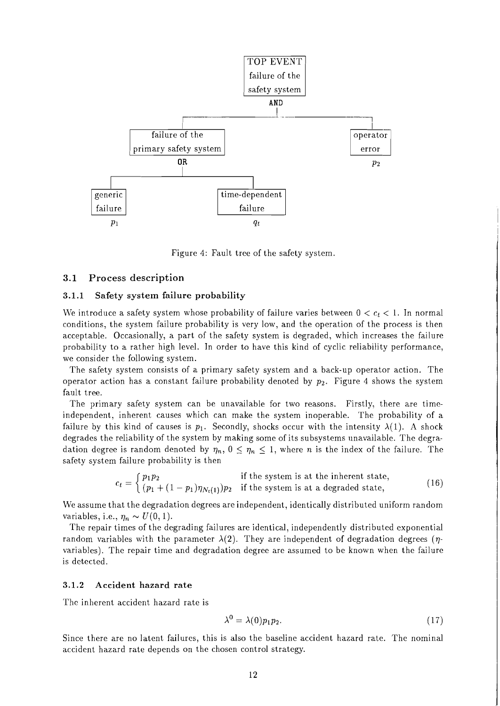

Figure 4: Fault tree of the safety system.

#### **3.1 Process description**

#### **3.1.1 Safety system failure probability**

We introduce a safety system whose probability of failure varies between  $0 < c_t < 1$ . In normal conditions, the system failure probability is very low, and the operation of the process is then acceptable. Occasionally, a part of the safety system is degraded, which increases the failure probability to a rather high level. In order to have this kind of cyclic reliability performance, we consider the following system.

The safety system consists of a primary safety system and a back-up operator action. The operator action has a constant failure probability denoted by  $p_2$ . Figure 4 shows the system fault tree.

The primary safety system can be unavailable for two reasons. Firstly, there are timeindependent, inherent causes which can make the system inoperable. The probability of a failure by this kind of causes is  $p_1$ . Secondly, shocks occur with the intensity  $\lambda(1)$ . A shock degrades the reliability of the system by making some of its subsystems unavailable. The degradation degree is random denoted by  $\eta_n$ ,  $0 \leq \eta_n \leq 1$ , where *n* is the index of the failure. The safety system failure probability is then

$$
c_t = \begin{cases} p_1 p_2 & \text{if the system is at the inherent state,} \\ (p_1 + (1 - p_1)\eta_{N_t(1)})p_2 & \text{if the system is at a degraded state,} \end{cases} \tag{16}
$$

We assume that the degradation degrees are independent, identically distributed uniform random variables, i.e.,  $\eta_n \sim U(0, 1)$ .

The repair times of the degrading failures are identical, independently distributed exponential random variables with the parameter  $\lambda(2)$ . They are independent of degradation degrees ( $\eta$ variables). The repair time and degradation degree are assumed to be known when the failure is detected.

#### **3.1.2 Accident hazard rate**

The inherent accident hazard rate is

$$
\lambda^0 = \lambda(0) p_1 p_2. \tag{17}
$$

Since there are no latent failures, this is also the baseline accident hazard rate. The nominal accident hazard rate depends on the chosen control strategy.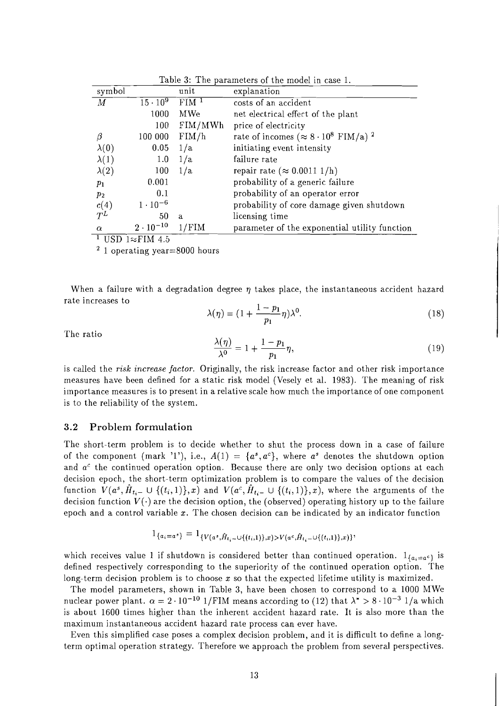| Table 3: The parameters of the model in case 1. |                                                                                                       |                    |                                                              |  |  |  |
|-------------------------------------------------|-------------------------------------------------------------------------------------------------------|--------------------|--------------------------------------------------------------|--|--|--|
| symbol                                          |                                                                                                       | unit               | explanation                                                  |  |  |  |
| М                                               | $15 \cdot 10^{9}$                                                                                     | $FIM$ <sup>1</sup> | costs of an accident                                         |  |  |  |
|                                                 | 1000                                                                                                  | <b>MWe</b>         | net electrical effect of the plant                           |  |  |  |
|                                                 | 100                                                                                                   | FIM/MWh            | price of electricity                                         |  |  |  |
| ß                                               | 100 000                                                                                               | FIM/h              | rate of incomes ( $\approx 8 \cdot 10^8$ FIM/a) <sup>2</sup> |  |  |  |
| $\lambda(0)$                                    | 0.05                                                                                                  | 1/a                | initiating event intensity                                   |  |  |  |
| $\lambda(1)$                                    | 1.0                                                                                                   | 1/a                | failure rate                                                 |  |  |  |
| $\lambda(2)$                                    | 100                                                                                                   | 1/a                | repair rate ( $\approx 0.0011$ 1/h)                          |  |  |  |
| $p_1$                                           | 0.001                                                                                                 |                    | probability of a generic failure                             |  |  |  |
| $p_2$                                           | 0.1                                                                                                   |                    | probability of an operator error                             |  |  |  |
| c(4)                                            | $1 \cdot 10^{-6}$                                                                                     |                    | probability of core damage given shutdown                    |  |  |  |
| $T^L$                                           | 50                                                                                                    | a                  | licensing time                                               |  |  |  |
| $\alpha$                                        | $2 \cdot 10^{-10}$<br>$1$ $\pi$ $\alpha$ $\mathbf{p}$ $\alpha$ $\mathbf{p}$ $\mathbf{r}$ $\mathbf{r}$ | 1/FIM              | parameter of the exponential utility function                |  |  |  |

<sup>1</sup> USD 1 $\approx$ FIM 4.5

 $2$  1 operating year=8000 hours

When a failure with a degradation degree  $\eta$  takes place, the instantaneous accident hazard rate increases to

$$
\lambda(\eta) = \left(1 + \frac{1 - p_1}{p_1}\eta\right)\lambda^0. \tag{18}
$$

The ratio

$$
\frac{\lambda(\eta)}{\lambda^0} = 1 + \frac{1 - p_1}{p_1} \eta,\tag{19}
$$

is called the *risk increase factor*. Originally, the risk increase factor and other risk importance measures have been defined for a static risk model (Vesely et al. 1983). The meaning of risk importance measures is to present in a relative scale how much the importance of one component is to the reliability of the system.

#### 3.2 Problem formulation

The short-term problem is to decide whether to shut the process down in a case of failure of the component (mark '1'), i.e.,  $A(1) = \{a^s, a^c\}$ , where  $a^s$  denotes the shutdown option and  $a<sup>c</sup>$  the continued operation option. Because there are only two decision options at each decision epoch, the short-term optimization problem is to compare the values of the decision function  $V(a^s, \hat{H}_{t_i-} \cup \{(t_i, 1)\}, x)$  and  $V(a^c, \hat{H}_{t_i-} \cup \{(t_i, 1)\}, x)$ , where the arguments of the decision function  $V(\cdot)$  are the decision option, the (observed) operating history up to the failure epoch and a control variable  $x$ . The chosen decision can be indicated by an indicator function

$$
1_{\{a_i=a^s\}} = 1_{\{V(a^s, \hat{H}_{t_i}-\cup\{(t_i,1)\},x)>V(a^c, \hat{H}_{t_i}-\cup\{(t_i,1)\},x)\}},
$$

which receives value 1 if shutdown is considered better than continued operation.  $1_{\{a_i=a^c\}}$  is defined respectively corresponding to the superiority of the continued operation option. The long-term decision problem is to choose  $x$  so that the expected lifetime utility is maximized.

The model parameters, shown in Table 3, have been chosen to correspond to a 1000 MWe nuclear power plant.  $\alpha = 2 \cdot 10^{-10}$  1/FIM means according to (12) that  $\lambda^* > 8 \cdot 10^{-3}$  1/a which is about 1600 times higher than the inherent accident hazard rate. It is also more than the maximum instantaneous accident hazard rate process can ever have.

Even this simplified case poses a complex decision problem, and it is difficult to define a longterm optimal operation strategy. Therefore we approach the problem from several perspectives.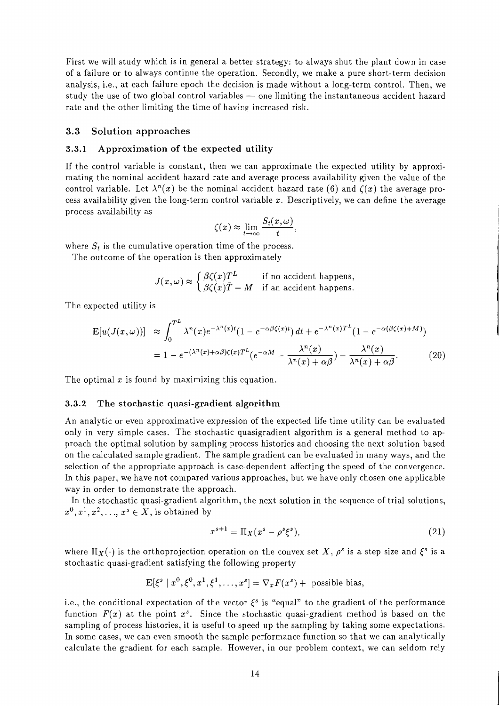First we will study which is in general a better strategy: to always shut the plant down in case of a failure or to always continue the operation. Secondly, we make a pure short-term decision analysis, i.e., at each failure epoch the decision is made without a long-term control. Then, we or a failure of to always contrinue the operation. Secondly, we make a pure short-term decision<br>analysis, i.e., at each failure epoch the decision is made without a long-term control. Then, we<br>study the use of two global c rate and the other limiting the time of having increased risk.

#### **3.3 Solution approaches**

#### **3.3.1 Approximation of the expected utility**

If the control variable is constant, then we can approximate the expected utility by approximating the nominal accident hazard rate and average process availability given the value of the control variable. Let  $\lambda^{n}(x)$  be the nominal accident hazard rate (6) and  $\zeta(x)$  the average process availability given the long-term control variable x. Descriptively, we can define the average process availability as

$$
\zeta(x) \approx \lim_{t \to \infty} \frac{S_t(x,\omega)}{t},
$$

where  $S_t$  is the cumulative operation time of the process.

The outcome of the operation is then approximately

 $J(x,\omega) \approx \begin{cases} \beta \zeta(x) T^L & \text{if no accident happens,} \\ \beta \zeta(x) \bar{T} - M & \text{if an accident happens.} \end{cases}$ 

The expected utility is

$$
\mathbf{E}[u(J(x,\omega))] \approx \int_0^{T^L} \lambda^n(x) e^{-\lambda^n(x)t} (1 - e^{-\alpha\beta\zeta(x)t}) dt + e^{-\lambda^n(x)T^L} (1 - e^{-\alpha(\beta\zeta(x) + M)})
$$

$$
= 1 - e^{-(\lambda^n(x) + \alpha\beta)\zeta(x)T^L} (e^{-\alpha M} - \frac{\lambda^n(x)}{\lambda^n(x) + \alpha\beta}) - \frac{\lambda^n(x)}{\lambda^n(x) + \alpha\beta}.
$$
(20)

The optimal  $x$  is found by maximizing this equation.

#### **3.3.2 The stochastic quasi-gradient algorithm**

An analytic or even approximative expression of the expected life time utility can be evaluated only in very simple cases. The stochastic quasigradient algorithm is a general method to approach the optimal solution by sampling process histories and choosing the next solution based on the calculated sample gradient. The sample gradient can be evaluated in many ways, and the selection of the appropriate approach is case-dependent affecting the speed of the convergence. In this paper, we have not compared various approaches, but we have only chosen one applicable way in order to demonstrate the approach.

In the stochastic quasi-gradient algorithm, the next solution in the sequence of trial solutions,  $x^0, x^1, x^2, \ldots, x^s \in X$ , is obtained by

$$
x^{s+1} = \Pi_X(x^s - \rho^s \xi^s),\tag{21}
$$

where  $\Pi_X(\cdot)$  is the orthoprojection operation on the convex set X,  $\rho^s$  is a step size and  $\xi^s$  is a stochastic quasi-gradient satisfying the following property

$$
\mathbf{E}[\xi^s \mid x^0, \xi^0, x^1, \xi^1, \dots, x^s] = \nabla_x F(x^s) + \text{ possible bias},
$$

i.e., the conditional expectation of the vector  $\xi^s$  is "equal" to the gradient of the performance function  $F(x)$  at the point  $x<sup>s</sup>$ . Since the stochastic quasi-gradient method is based on the sampling of process histories, it is useful to speed up the sampling by taking some expectations. In some cases, we can even smooth the sample performance function so that we can analytically calculate the gradient for each sample. However, in our problem context, we can seldom rely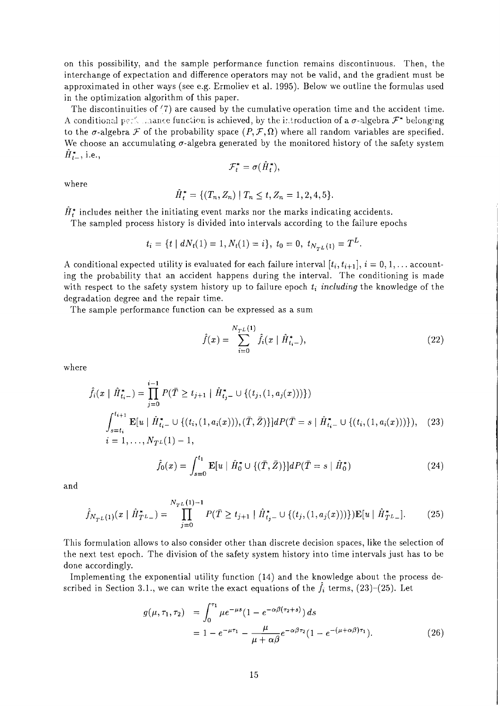on this possibility, and the sample performance function remains discontinuous. Then, the interchange of expectation and difference operators may not be valid, and the gradient must be approximated in other ways (see e.g. Ermoliev et al. 1995). Below we outline the formulas used in the optimization algorithm of this paper.

The discontinuities of *'7)* are caused by the cumulative operation time and the accident time. A conditional performance function is achieved, by the introduction of a  $\sigma$ -algebra  $\mathcal{F}^*$  belonging to the  $\sigma$ -algebra *F* of the probability space  $(P, \mathcal{F}, \Omega)$  where all random variables are specified. We choose an accumulating  $\sigma$ -algebra generated by the monitored history of the safety system  $H_{t-}^*$ , i.e.,

$$
\mathcal{F}_t^* = \sigma(\hat{H}_t^*),
$$

where

$$
\hat{H}_t^* = \{ (T_n, Z_n) \mid T_n \le t, Z_n = 1, 2, 4, 5 \}.
$$

 $\hat{H}_t^*$  includes neither the initiating event marks nor the marks indicating accidents.

The sampled process history is divided into intervals according to the failure epochs

$$
t_i = \{t \mid dN_t(1) = 1, N_t(1) = i\}, t_0 = 0, t_{N_{TL}(1)} = T^L.
$$

A conditional expected utility is evaluated for each failure interval  $[t_i, t_{i+1}], i = 0, 1, \ldots$  accounting the probability that an accident happens during the interval. The conditioning is made with respect to the safety system history up to failure epoch  $t_i$  including the knowledge of the degradation degree and the repair time.

The sample performance function can be expressed as a sum

$$
\hat{f}(x) = \sum_{i=0}^{N_{TL}(1)} \hat{f}_i(x \mid \hat{H}_{t_i}^*),
$$
\n(22)

where

$$
\hat{f}_i(x \mid \hat{H}_{t_i-}^*) = \prod_{j=0}^{i-1} P(\bar{T} \ge t_{j+1} \mid \hat{H}_{t_j-}^* \cup \{(t_j, (1, a_j(x)))\})
$$
\n
$$
\int_{s=t_i}^{t_{i+1}} \mathbf{E}[u \mid \hat{H}_{t_i-}^* \cup \{(t_i, (1, a_i(x))), (\bar{T}, \bar{Z})\}] dP(\bar{T} = s \mid \hat{H}_{t_i-}^* \cup \{(t_i, (1, a_i(x)))\}), \quad (23)
$$
\n
$$
i = 1, \dots, N_{T^L}(1) - 1,
$$

$$
\hat{f}_0(x) = \int_{s=0}^{t_1} \mathbf{E}[u \mid \hat{H}_0^* \cup \{(\bar{T}, \bar{Z})\}] dP(\bar{T} = s \mid \hat{H}_0^*)
$$
\n(24)

and

$$
\hat{f}_{N_{TL}(1)}(x \mid \hat{H}_{TL-}^{*}) = \prod_{j=0}^{N_{TL}(1)-1} P(\bar{T} \ge t_{j+1} \mid \hat{H}_{t_j}^{*} \cup \{(t_j, (1, a_j(x)))\}) \mathbf{E}[u \mid \hat{H}_{TL-}^{*}].
$$
 (25)

This formulation allows to also consider other than discrete decision spaces, like the selection of the next test epoch. The division of the safety system history into time intervals just has to be done accordingly.

Implementing the exponential utility function (14) and the knowledge about the process described in Section 3.1., we can write the exact equations of the  $f_i$  terms, (23)-(25). Let

$$
g(\mu, \tau_1, \tau_2) = \int_0^{\tau_1} \mu e^{-\mu s} (1 - e^{-\alpha \beta (\tau_2 + s)}) ds
$$
  
=  $1 - e^{-\mu \tau_1} - \frac{\mu}{\mu + \alpha \beta} e^{-\alpha \beta \tau_2} (1 - e^{-(\mu + \alpha \beta)\tau_1}).$  (26)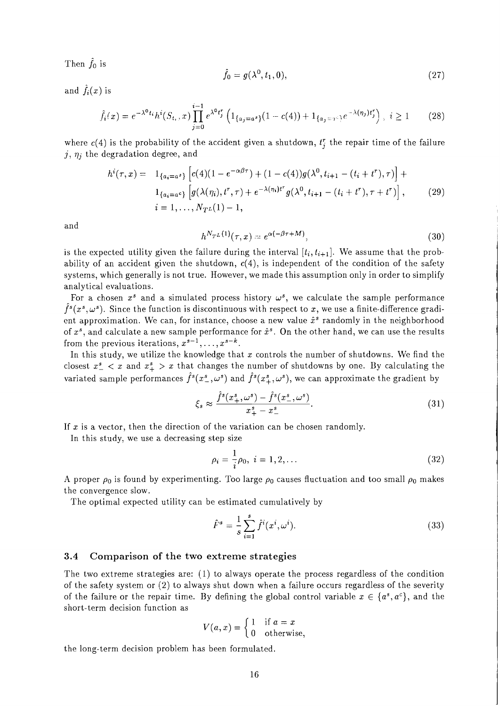Then  $\hat{f}_0$  is

$$
\hat{f}_0 = g(\lambda^0, t_1, 0),\tag{27}
$$

and  $\hat{f}_i(x)$  is

$$
\hat{f}_i(x) = e^{-\lambda^0 t_i} h^i(S_{t_i}, x) \prod_{j=0}^{i-1} e^{\lambda^0 t_j^r} \left( 1_{\{a_j = a^s\}} (1 - c(4)) + 1_{\{a_j = x^c\}} e^{-\lambda(\eta_j) t_j^r} \right), \ i \ge 1 \tag{28}
$$

where  $c(4)$  is the probability of the accident given a shutdown,  $t_i^r$  the repair time of the failure  $j, \eta_j$  the degradation degree, and

$$
h^{i}(\tau, x) = 1_{\{a_{i} = a^{s}\}} \left[ c(4)(1 - e^{-\alpha\beta\tau}) + (1 - c(4))g(\lambda^{0}, t_{i+1} - (t_{i} + t^{r}), \tau) \right] +
$$
  
\n
$$
1_{\{a_{i} = a^{c}\}} \left[ g(\lambda(\eta_{i}), t^{r}, \tau) + e^{-\lambda(\eta_{i})t^{r}} g(\lambda^{0}, t_{i+1} - (t_{i} + t^{r}), \tau + t^{r}) \right],
$$
\n
$$
i = 1, ..., N_{T}L(1) - 1,
$$
\n(29)

and

$$
h^{N_{\mathcal{T}^L}(1)}(\tau,x) = e^{\alpha(-\beta\tau+M)},\tag{30}
$$

is the expected utility given the failure during the interval  $[t_i, t_{i+1}]$ . We assume that the probability of an accident given the shutdown,  $c(4)$ , is independent of the condition of the safety systems, which generally is not true. However, we made this assumption only in order to simplify analytical evaluations.

For a chosen  $x^s$  and a simulated process history  $\omega^s$ , we calculate the sample performance  $f^{s}(x^{s}, \omega^{s})$ . Since the function is discontinuous with respect to x, we use a finite-difference gradient approximation. We can, for instance, choose a new value  $\hat{x}^s$  randomly in the neighborhood of  $x^s$ , and calculate a new sample performance for  $\hat{x}^s$ . On the other hand, we can use the results from the previous iterations,  $x^{s-1}, \ldots, x^{s-k}$ .

In this study, we utilize the knowledge that  $x$  controls the number of shutdowns. We find the closest  $x_{-}^{s}$  < x and  $x_{+}^{s}$  > x that changes the number of shutdowns by one. By calculating the variated sample performances  $\hat{f}^s(x_\perp^s, \omega^s)$  and  $\hat{f}^s(x_\perp^s, \omega^s)$ , we can approximate the gradient by

$$
\xi_s \approx \frac{\hat{f}^s(x_+^s, \omega^s) - \hat{f}^s(x_-^s, \omega^s)}{x_+^s - x_-^s}.\tag{31}
$$

If  $x$  is a vector, then the direction of the variation can be chosen randomly.

In this study, we use a decreasing step size

$$
\rho_i = \frac{1}{i}\rho_0, \ i = 1, 2, \dots \tag{32}
$$

A proper  $\rho_0$  is found by experimenting. Too large  $\rho_0$  causes fluctuation and too small  $\rho_0$  makes the convergence slow.

The optimal expected utility can be estimated cumulatively by

$$
\hat{F}^s = \frac{1}{s} \sum_{i=1}^s \hat{f}^i(x^i, \omega^i).
$$
 (33)

#### **3.4 Comparison of the two extreme strategies**

The two extreme strategies are: (1) to always operate the process regardless of the condition of the safety system or (2) to always shut down when a failure occurs regardless of the severity of the failure or the repair time. By defining the global control variable  $x \in \{a^s, a^c\}$ , and the short-term decision function as

$$
V(a, x) = \begin{cases} 1 & \text{if } a = x \\ 0 & \text{otherwise,} \end{cases}
$$

the long-term decision problem has been formulated.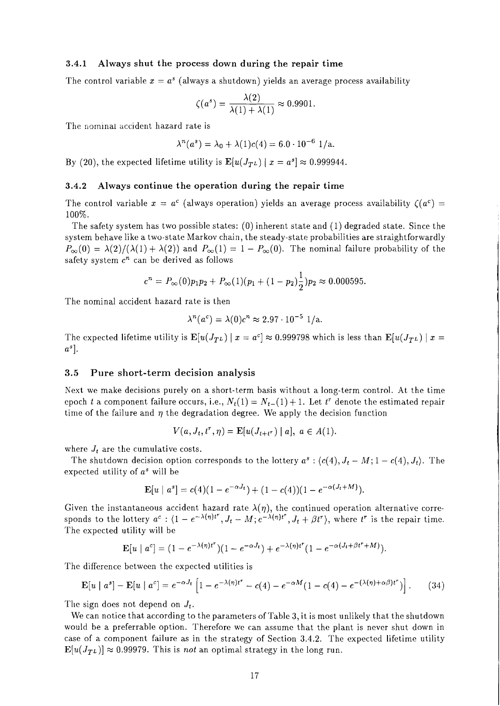#### **3.4.1 Always shut the process down during the repair time**

The control variable  $x = a^s$  (always a shutdown) yields an average process availability

$$
\zeta(a^s) = \frac{\lambda(2)}{\lambda(1) + \lambda(1)} \approx 0.9901.
$$

The nominal accident hazard rate is

$$
\lambda^{n}(a^{s}) = \lambda_{0} + \lambda(1)c(4) = 6.0 \cdot 10^{-6} \text{ 1/a}.
$$

By (20), the expected lifetime utility is  $\mathbf{E}[u(J_{TL}) | x = a^s] \approx 0.999944$ .

#### **3.4.2 Always continue the operation during the repair time**

The control variable  $x = a^c$  (always operation) yields an average process availability  $\zeta(a^c)$ 100%.

The safety system has two possible states:  $(0)$  inherent state and  $(1)$  degraded state. Since the system behave like a two-state Markov chain, the steady-state probabilities are straightforwardly  $P_{\infty}(0) = \lambda(2)/(\lambda(1) + \lambda(2))$  and  $P_{\infty}(1) = 1 - P_{\infty}(0)$ . The nominal failure probability of the safety system  $c^n$  can be derived as follows

$$
c^{n} = P_{\infty}(0)p_1p_2 + P_{\infty}(1)(p_1 + (1-p_2)\frac{1}{2})p_2 \approx 0.000595.
$$

The nominal accident hazard rate is then

$$
\lambda^{n}(a^{c}) = \lambda(0)c^{n} \approx 2.97 \cdot 10^{-5} \, 1/a.
$$

The expected lifetime utility is  $\mathbf{E}[u(J_{T^L}) | x = a^c] \approx 0.999798$  which is less than  $\mathbf{E}[u(J_{T^L}) | x = a^c]$  $a^s$ ].

#### **3.5 Pure short-term decision analysis**

Nest we make decisions purely on a short-term basis without a long-term control. At the time epoch *t* a component failure occurs, i.e.,  $N_t(1) = N_{t-1}(1) + 1$ . Let  $t^r$  denote the estimated repair time of the failure and  $\eta$  the degradation degree. We apply the decision function

$$
V(a, J_t, t^r, \eta) = \mathbf{E}[u(J_{t+t^r}) | a], \ a \in A(1).
$$

where  $J_t$  are the cumulative costs.

The shutdown decision option corresponds to the lottery  $a^s$ :  $(c(4), J_t - M; 1 - c(4), J_t)$ . The expected utility of  $a^s$  will be

$$
\mathbf{E}[u \mid a^s] = c(4)(1 - e^{-\alpha J_t}) + (1 - c(4))(1 - e^{-\alpha(J_t + M)}).
$$

Given the instantaneous accident hazard rate  $\lambda(\eta)$ , the continued operation alternative corresponds to the lottery  $a^c$ :  $(1 - e^{-\lambda(\eta)t^r}, J_t - M; e^{-\lambda(\eta)t^r}, J_t + \beta t^r)$ , where  $t^r$  is the repair time. The expected utility will be

$$
\mathbf{E}[u \mid a^c] = (1 - e^{-\lambda(\eta)t^r})(1 - e^{-\alpha J_t}) + e^{-\lambda(\eta)t^r}(1 - e^{-\alpha(J_t + \beta t^r + M)}).
$$

The difference between the expected utilities is

$$
\mathbf{E}[u \mid a^s] - \mathbf{E}[u \mid a^c] = e^{-\alpha J_t} \left[ 1 - e^{-\lambda(\eta)t^r} - c(4) - e^{-\alpha M} (1 - c(4) - e^{-(\lambda(\eta) + \alpha \beta)t^r}) \right]. \tag{34}
$$

The sign does not depend on  $J_t$ .

We can notice that according to the parameters of Table 3, it is most unlikely that the shutdown would be a preferrable option. Therefore we can assume that the plant is never shut down in case of a component failure as in the strategy of Section 3.4.2. The expected lifetime utility  $\mathbf{E}[u(J_{TL})] \approx 0.99979$ . This is *not* an optimal strategy in the long run.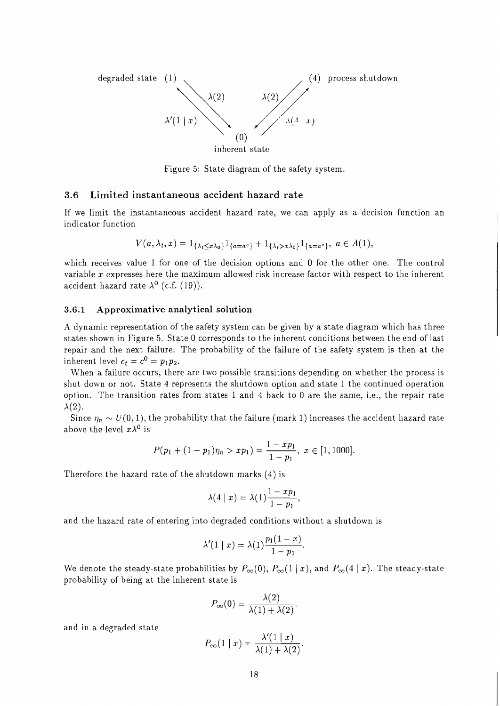

Figure *5:* State diagram of the safety system.

#### **3.6 Limited instantaneous accident hazard rate**

If we limit the instantaneous accident hazard rate, we can apply as a decision function an indicator function

$$
V(a,\lambda_t,x) = 1_{\{\lambda_t \le x\lambda_0\}} 1_{\{a=a^c\}} + 1_{\{\lambda_t > x\lambda_0\}} 1_{\{a=a^s\}}, \ a \in A(1),
$$

which receives value 1 for one of the decision options and 0 for the other one. The control variable x expresses here the maximum allowed risk increase factor with respect to the inherent accident hazard rate  $\lambda^0$  (c.f. (19)).

#### **3.6.1 Approximative analytical solution**

A dynamic representation of the safety system can be given by a state diagram which has three states shown in Figure *5.* State 0 corresponds to the inherent conditions between the end of last repair and the next failure. The probability of the failure of the safety system is then at the inherent level  $c_t = c^0 = p_1p_2$ .

When a failure occurs, there are two possible transitions depending on whether the process is shut down or not. State 4 represents the shutdown option and state 1 the continued operation option. The transition rates from states 1 and 4 back to 0 are the same, i.e., the repair rate  $\lambda(2)$ . is, there are two possible transitions depending on wite 4 represents the shutdown option and state 1 then rates from states 1 and 4 back to 0 are the same<br>the probability that the failure (mark 1) increases the<br> $P(p_1 + (1 -$ 

Since  $\eta_n \sim U(0, 1)$ , the probability that the failure (mark 1) increases the accident hazard rate above the level  $x\lambda^0$  is

$$
P(p_1+(1-p_1)\eta_n > xp_1) = \frac{1-xp_1}{1-p_1}, \ x \in [1,1000].
$$

Therefore the hazard rate of the shutdown marks (4) is

$$
\lambda(4 \mid x) = \lambda(1) \frac{1 - xp_1}{1 - p_1},
$$

and the hazard rate of entering into degraded conditions without a shutdown is

$$
\lambda'(1 \mid x) = \lambda(1) \frac{p_1(1-x)}{1-p_1}.
$$

We denote the steady-state probabilities by  $P_{\infty}(0)$ ,  $P_{\infty}(1 | x)$ , and  $P_{\infty}(4 | x)$ . The steady-state probability of being at the inherent state is

$$
P_{\infty}(0) = \frac{\lambda(2)}{\lambda(1) + \lambda(2)}.
$$

and in a degraded state

$$
P_{\infty}(1 \mid x) = \frac{\lambda'(1 \mid x)}{\lambda(1) + \lambda(2)}.
$$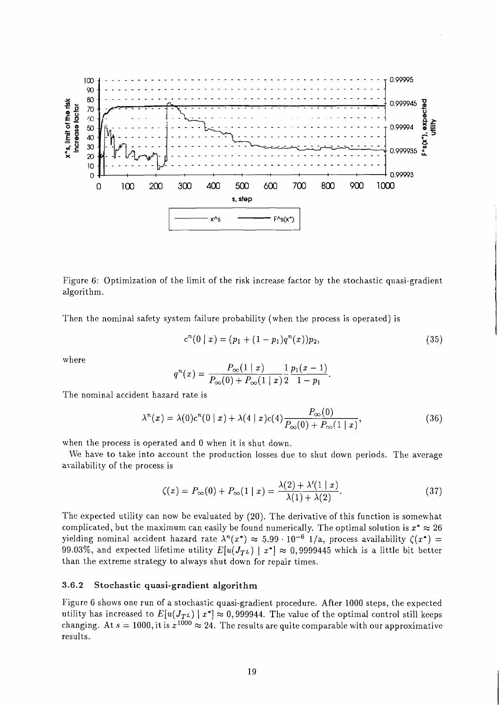

Figure 6: Optimization of the limit of the risk increase factor by the stochastic quasi-gradient algorithm.

Then the nominal safety system failure probability (when the process is operated) is

$$
c^{n}(0 \mid x) = (p_{1} + (1 - p_{1})q^{n}(x))p_{2}, \qquad (35)
$$

where

$$
q^{n}(x) = \frac{P_{\infty}(1 \mid x)}{P_{\infty}(0) + P_{\infty}(1 \mid x)} \frac{1}{2} \frac{p_{1}(x-1)}{1-p_{1}}.
$$

The nominal accident hazard rate is

$$
\lambda^{n}(x) = \lambda(0)c^{n}(0 \mid x) + \lambda(4 \mid x)c(4)\frac{P_{\infty}(0)}{P_{\infty}(0) + P_{\infty}(1 \mid x)},
$$
\n(36)

when the process is operated and 0 when it is shut down.

We have to take into account the production losses due to shut down periods. The average availability of the process is

$$
\zeta(x) = P_{\infty}(0) + P_{\infty}(1 \mid x) = \frac{\lambda(2) + \lambda'(1 \mid x)}{\lambda(1) + \lambda(2)}.\tag{37}
$$

Thc expected utility can now be evaluated by (20). The derivative of this function is somewhat complicated, but the maximum can easily be found numerically. The optimal solution is  $x^* \approx 26$ yielding nominal accident hazard rate  $\lambda^n(x^*) \approx 5.99 \cdot 10^{-6}$  1/a, process availability  $\zeta(x^*)$  = 99.03%, and expected lifetime utility  $E[u(J_{TL}) | x^*] \approx 0,9999445$  which is a little bit better than the extreme strategy to always shut down for repair times.

#### **3.6.2 Stochastic quasi-gradient algorithm**

Figure 6 shows one run of a stochastic quasi-gradient procedure. After 1000 steps, the expected utility has increased to  $E[u(J_{TL}) \mid x^*] \approx 0,999944$ . The value of the optimal control still keeps changing. At  $s = 1000$ , it is  $x^{1000} \approx 24$ . The results are quite comparable with our approximative results.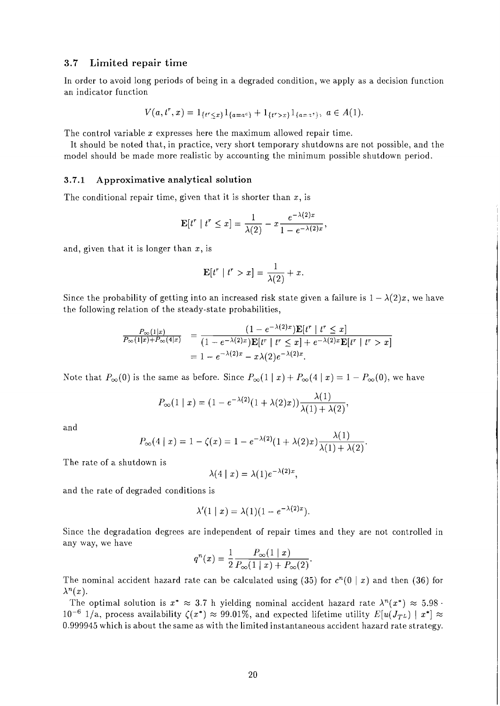#### **3.7 Limited repair time**

In order to avoid long periods of being in a degraded condition, we apply as a decision function an indicator function

$$
V(a, t^r, x) = 1_{\{t^r \le x\}} 1_{\{a = a^c\}} + 1_{\{t^r > x\}} 1_{\{a = x^s\}}, \ a \in A(1).
$$

The control variable  $x$  expresses here the maximum allowed repair time.

It should be noted that, in practice, very short temporary shutdowns are not possible, and the model should be made more realistic by accounting the minimum possible shutdown period.

#### **3.7.1 Approximative analytical solution**

The conditional repair time, given that it is shorter than  $x$ , is

$$
\mathbf{E}[t^r \mid t^r \leq x] = \frac{1}{\lambda(2)} - x \frac{e^{-\lambda(2)x}}{1 - e^{-\lambda(2)x}},
$$

and, given that it is longer than  $x$ , is

$$
\mathbf{E}[t^r \mid t^r > x] = \frac{1}{\lambda(2)} + x.
$$

Since the probability of getting into an increased risk state given a failure is  $1 - \lambda(2)x$ , we have the following relation of the steady-state probabilities,

$$
\frac{P_{\infty}(1|x)}{P_{\infty}(1|x) + P_{\infty}(4|x)} = \frac{(1 - e^{-\lambda(2)x})\mathbf{E}[t^r | t^r \leq x]}{(1 - e^{-\lambda(2)x})\mathbf{E}[t^r | t^r \leq x] + e^{-\lambda(2)x}\mathbf{E}[t^r | t^r > x]} = 1 - e^{-\lambda(2)x} - x\lambda(2)e^{-\lambda(2)x}.
$$

Note that  $P_{\infty}(0)$  is the same as before. Since  $P_{\infty}(1 \mid x) + P_{\infty}(4 \mid x) = 1 - P_{\infty}(0)$ , we have

$$
P_{\infty}(1 \mid x) = (1 - e^{-\lambda(2)}(1 + \lambda(2)x)) \frac{\lambda(1)}{\lambda(1) + \lambda(2)},
$$

and

$$
P_{\infty}(4 \mid x) = 1 - \zeta(x) = 1 - e^{-\lambda(2)}(1 + \lambda(2)x) \frac{\lambda(1)}{\lambda(1) + \lambda(2)}.
$$

The rate of a shutdown is

$$
\lambda(4 \mid x) = \lambda(1)e^{-\lambda(2)x},
$$

and the rate of degraded conditions is

$$
\lambda'(1 \mid x) = \lambda(1)(1 - e^{-\lambda(2)x}).
$$

Since the degradation degrees are independent of repair times and they are not controlled in any way, we have

$$
q^{n}(x) = \frac{1}{2} \frac{P_{\infty}(1 \mid x)}{P_{\infty}(1 \mid x) + P_{\infty}(2)}.
$$

The nominal accident hazard rate can be calculated using (35) for  $c^n(0 \mid x)$  and then (36) for  $\lambda^{n}(x)$ .

The optimal solution is  $x^* \approx 3.7$  h yielding nominal accident hazard rate  $\lambda^n(x^*) \approx 5.98$ .  $10^{-6}$  1/a, process availability  $\zeta(x^*) \approx 99.01\%$ , and expected lifetime utility  $E[u(J_{TL}) \mid x^*] \approx$ 0.999945 which is about the same as with the limited instantaneous accident hazard rate strategy.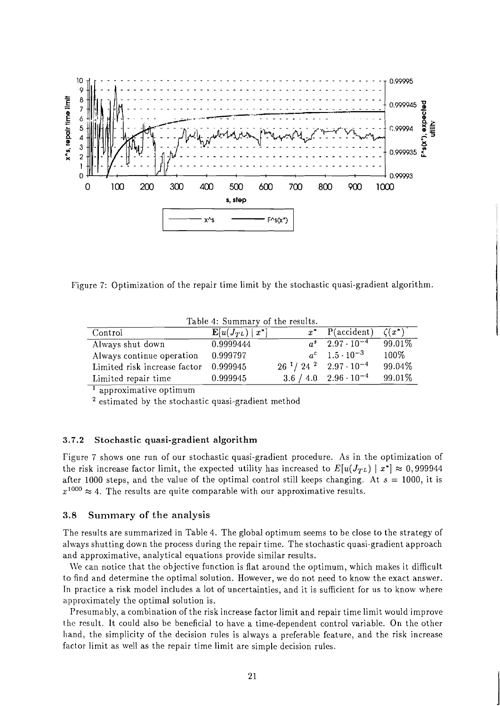

Figure 7: Optimization of the repair time limit by the stochastic quasi-gradient algorithm.

| Lable 4. Building of the results. |                               |  |                                      |           |  |  |  |
|-----------------------------------|-------------------------------|--|--------------------------------------|-----------|--|--|--|
| Control                           | $\mathbb{E}[u(J_{TL})   x^*]$ |  | $x^*$ P(accident) $\zeta(x^*)$       |           |  |  |  |
| Always shut down                  | 0.9999444                     |  | $a^s$ 2.97 $\cdot$ 10 <sup>-4</sup>  | $99.01\%$ |  |  |  |
| Always continue operation         | 0.999797                      |  | $a^{c}$ 1.5 $\cdot$ 10 <sup>-3</sup> | 100%      |  |  |  |
| Limited risk increase factor      | 0.999945                      |  | $26^{1}/24^{2}$ $2.97 \cdot 10^{-4}$ | 99.04%    |  |  |  |
| Limited repair time               | 0.999945                      |  | $3.6 / 4.0$ $2.96 \cdot 10^{-4}$     | 99.01%    |  |  |  |

Table 4: Summary of the results.

<sup>1</sup> approximative optimum

 $2$  estimated by the stochastic quasi-gradient method

#### 3.7.2 Stochastic quasi-gradient algorithm

Figure 7 shows one run of our stochastic quasi-gradient procedure. As in the optimization of the risk increase factor limit, the expected utility has increased to  $E[u(J_{TL}) | x^*] \approx 0,999944$ after 1000 steps, and the value of the optimal control still keeps changing. At  $s = 1000$ , it is  $x^{1000} \approx 4$ . The results are quite comparable with our approximative results.

#### **3.8** Summary of the analysis

The results are summarized in Table 4. The global optimum seems to be close to the strategy of always shutting down the process during the repair time. The stochastic quasi-gradient approach and approximative, analytical equations provide similar results.

We can notice that the objective function is flat around the optimum, which makes it difficult to find and determine the optimal solution. However, we do not need to know the exact answer. In practice a risk model includes a lot of uncertainties, and it is sufficient for us to know where approximately the optimal solution is.

Presumably, a combination of the risk increase factor limit and repair time limit would improve the result. It could also be beneficial to have a time-dependent control variable. On the other hand, the simplicity of the decision rules is always a preferable feature, and the risk increase factor limit as well as the repair time limit are simple decision rules.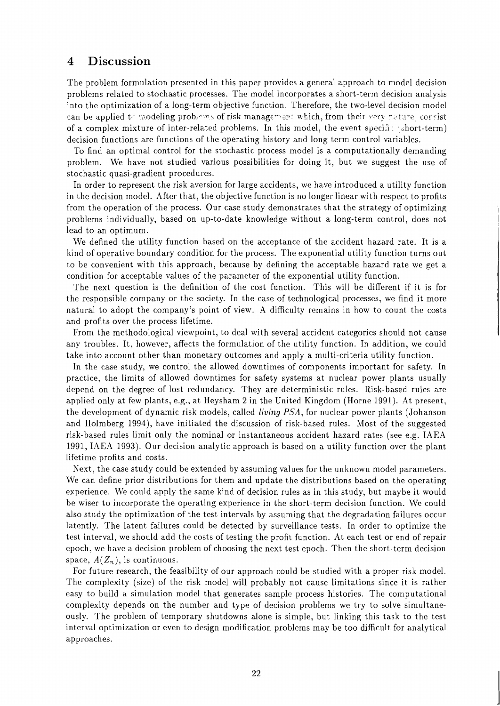## 4 Discussion

The problem formulation presented in this paper provides a general approach to model decision problems related to stochastic processes. The model incorporates a short-term decision analysis into the optimization of a long-term objective function. Therefore, the two-level decision model can be applied to modeling problems of risk management which, from their very nature, consist of a complex mixture of inter-related problems. In this model, the event specific (short-term) decision functions are functions of the operating history and long-term control variables.

To find an optimal control for the stochastic process model is a computationally demanding problem. M'e have not studied various possibilities for doing it, but we suggest the use of stochastic quasi-gradient procedures.

In order to represent the risk aversion for large accidents, we have introduced a utility function in the decision model. After that, the objective function is no longer linear with respect to profits from the operation of the process. Our case study demonstrates that the strategy of optimizing problems individually, based on up-to-date knowledge without a long-term control, does not lead to an optimum.

We defined the utility function based on the acceptance of the accident hazard rate. It is a kind of operative boundary condition for the process. The exponential utility function turns out to be convenient with this approach, because by defining the acceptable hazard rate we get a condition for acceptable values of the parameter of the exponential utility function.

The next question is the definition of the cost function. This will be different if it is for the responsible company or the society. In the case of technological processes, we find it more natural to adopt the company's point of view. A difficulty remains in how to count the costs and profits over the process lifetime.

From the methodological viewpoint, to deal with several accident categories should not cause any troubles. It, however, affects the formulation of the utility function. In addition, we could take into account other than monetary outcomes and apply a multi-criteria utility function.

In the case study, we control the allowed downtimes of components important for safety. In practice, the limits of allowed downtimes for safety systems at nuclear power plants usually depend on the degree of lost redundancy. They are deterministic rules. Risk-based rules are applied only at few plants, e.g., at Heysham 2 in the United Kingdom (Horne 1991). At present, the development of dynamic risk models, called **living** PSA, for nuclear power plants (Johanson and Holmberg 1994), have initiated the discussion of risk-based rules. Most of the suggested risk-based rules limit only the nominal or instantaneous accident hazard rates (see e.g. IAEA 1991, IAEA 1993). Our decision analytic approach is based on a utility function over the plant lifetime profits and costs.

Next, the case study could be extended by assuming values for the unknown model parameters. We can define prior distributions for them and update the distributions based on the operating experience. We could apply the same kind of decision rules as in this study, but maybe it would be wiser to incorporate the operating experience in the short-term decision function. We could also study the optimization of the test intervals by assuming that the degradation failures occur latently. The latent failures could be detected by surveillance tests. In order to optimize the test interval, we should add the costs of testing the profit function. At each test or end of repair epoch, we have a decision problem of choosing the next test epoch. Then the short-term decision space,  $A(Z_n)$ , is continuous.

For future research, the feasibility of our approach could be studied with a proper risk model. The complexity (size) of the risk model will probably not cause limitations since it is rather easy to build a simulation model that generates sample process histories. The computational complexity depends on the number and type of decision problems we try to solve simultaneously. The problem of temporary shutdowns alone is simple, but linking this task to the test interval optimization or even to design modification problems may be too difficult for analytical approaches.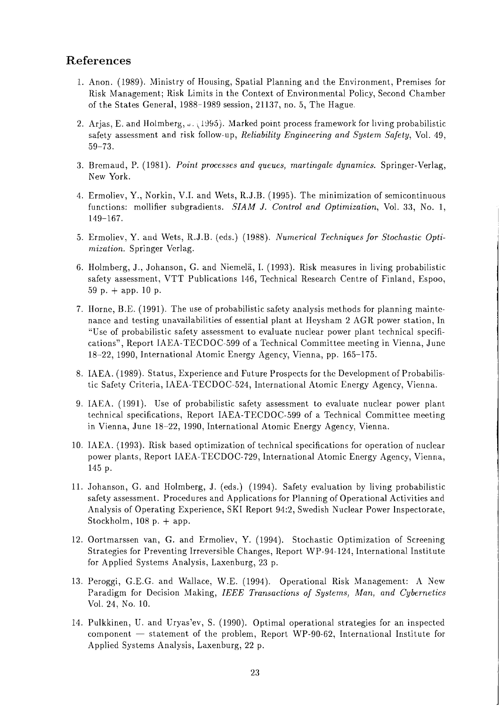# **References**

- 1. Anon. (1989). Ministry of Housing, Spatial Planning and the Environment, Premises for Risk Management; Risk Limits in the Context of Environmental Policy, Second Chamber of the States General, 1988-1989 session, 21137, no. 5, The Hague.
- 2. Arjas, E. and Holmberg,  $\hat{J}$ . (1995). Marked point process framework for living probabilistic safety assessment and risk follow-up, *Reliability Engineering and System Safety,* Vol. 49, 59-73.
- 3. Bremaud, P. (1981). *Point processes and queues, martingale dynamics.* Springer-Verlag, New York.
- 4. Ermoliev, Y., Norkin, V.I. and Wets, R.J.B. (1995). The minimization of semicontinuous functions: mollifier subgradients. *SIAM* J. *Control and Optimization,* Vol. 33, No. 1, 149-167.
- 5. Ermoliev, Y. and Wets, R.J.B. (eds.) (1988). *Numerical Techniques for Stochastic Optimization.* Springer Verlag.
- 6. Holmberg, J., Johanson, G. and Niemela, I. (1993). Risk measures in living probabilistic safety assessment, VTT Publications 146, Technical Research Centre of Finland, Espoo, 59 p.  $+$  app. 10 p.
- 7. IIorne, B.E. (1991). The use of probabilistic safety analysis methods for planning maintenance and testing unavailabilities of essential plant at Heysham 2 AGR power station, In "Use of probabilistic safety assessment to evaluate nuclear power plant technical specifications", Report IAEA-TECDOC-599 of a Technical Committee meeting in Vienna, June 18-22, 1990, International Atomic Energy Agency, Vienna, pp. 165-175.
- 8. IAEA. (1989). Status, Experience and Future Prospects for the Development of Probabilistic Safety Criteria, IAEA-TECDOC-524, International Atomic Energy Agency, Vienna.
- 9. IAEA. (1991). Use of probabilistic safety assessment to evaluate nuclear power plant technical specifications, Report IAEA-TECDOC-599 of a Technical Committee meeting in Vienna, June 18-22, 1990, International Atomic Energy Agency, Vienna.
- 10. IAEA. (1993). Risk based optimization of technical specifications for operation of nuclear power plants, Report IAEA-TECDOC-729, International Atomic Energy Agency, Vienna, 145 p.
- 11. Johanson, G. and Holmberg, J. (eds.) (1994). Safety evaluation by living probabilistic safety assessment. Procedures and Applications for Planning of Operational Activities and Analysis of Operating Experience, SKI Report 94:2, Swedish Nuclear Power Inspectorate, Stockholm,  $108$  p.  $+$  app.
- 12. Oortmarssen van, G. and Ermoliev, Y. (1994). Stochastic Optimization of Screening Strategies for Preventing Irreversible Changes, Report WP-94-124, International Institute for Applied Systems Analysis, Laxenburg, 23 p.
- 13. Peroggi, G.E.G. and Wallace, W.E. (1994). Operational Risk Management: A New Paradigm for Decision Making, *IEEE Transactions of Systems, Man, and Cybernetics* Vol. 24. No. 10.
- 14. Pulkkinen, U. and Uryas'ev, S. (1990). Optimal operational strategies for an inspected component  $-$  statement of the problem, Report WP-90-62, International Institute for Applied Systems Analysis, Laxenburg, 22 p.